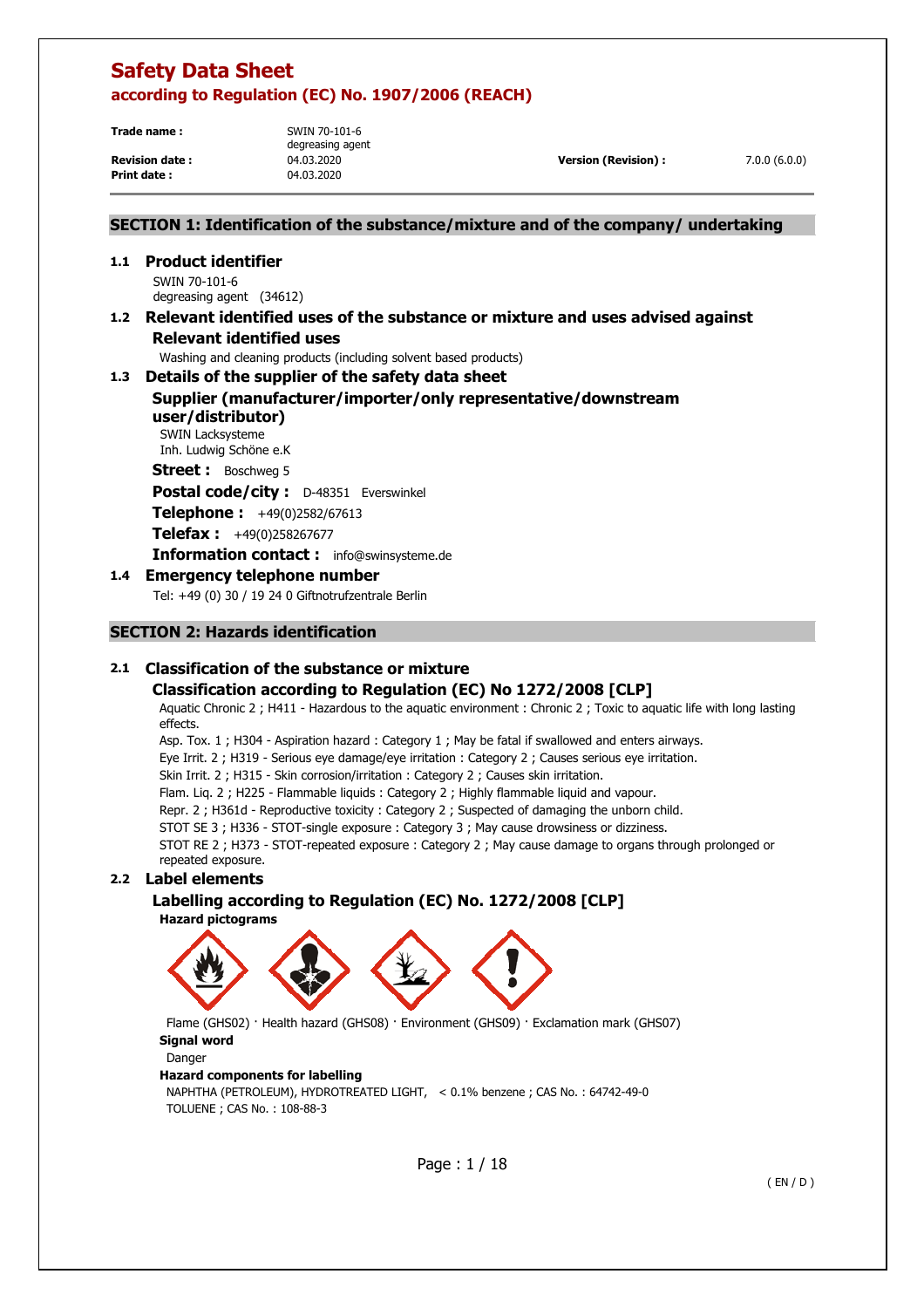**Trade name :** SWIN 70-101-6

**Print date :** 04.03.2020

degreasing agent

**Revision date :** 04.03.2020 **Version (Revision) :** 7.0.0 (6.0.0)

## **SECTION 1: Identification of the substance/mixture and of the company/ undertaking**

## **1.1 Product identifier**

SWIN 70-101-6 degreasing agent (34612)

## **1.2 Relevant identified uses of the substance or mixture and uses advised against Relevant identified uses**

Washing and cleaning products (including solvent based products)

# **1.3 Details of the supplier of the safety data sheet**

## **Supplier (manufacturer/importer/only representative/downstream user/distributor)**

SWIN Lacksysteme Inh. Ludwig Schöne e.K

**Street :** Boschweg 5

**Postal code/city :** D-48351 Everswinkel

**Telephone :** +49(0)2582/67613

**Telefax :** +49(0)258267677

**Information contact :** info@swinsysteme.de

## **1.4 Emergency telephone number**

Tel: +49 (0) 30 / 19 24 0 Giftnotrufzentrale Berlin

## **SECTION 2: Hazards identification**

## **2.1 Classification of the substance or mixture**

## **Classification according to Regulation (EC) No 1272/2008 [CLP]**

Aquatic Chronic 2 ; H411 - Hazardous to the aquatic environment : Chronic 2 ; Toxic to aquatic life with long lasting effects.

Asp. Tox. 1 ; H304 - Aspiration hazard : Category 1 ; May be fatal if swallowed and enters airways.

Eye Irrit. 2 ; H319 - Serious eye damage/eye irritation : Category 2 ; Causes serious eye irritation.

Skin Irrit. 2 ; H315 - Skin corrosion/irritation : Category 2 ; Causes skin irritation.

Flam. Liq. 2 ; H225 - Flammable liquids : Category 2 ; Highly flammable liquid and vapour.

Repr. 2 ; H361d - Reproductive toxicity : Category 2 ; Suspected of damaging the unborn child.

STOT SE 3 ; H336 - STOT-single exposure : Category 3 ; May cause drowsiness or dizziness.

STOT RE 2 ; H373 - STOT-repeated exposure : Category 2 ; May cause damage to organs through prolonged or repeated exposure.

## **2.2 Label elements**

 **Labelling according to Regulation (EC) No. 1272/2008 [CLP] Hazard pictograms** 



 Flame (GHS02) · Health hazard (GHS08) · Environment (GHS09) · Exclamation mark (GHS07) **Signal word**  Danger **Hazard components for labelling** 

NAPHTHA (PETROLEUM), HYDROTREATED LIGHT, < 0.1% benzene ; CAS No. : 64742-49-0 TOLUENE ; CAS No. : 108-88-3

Page : 1 / 18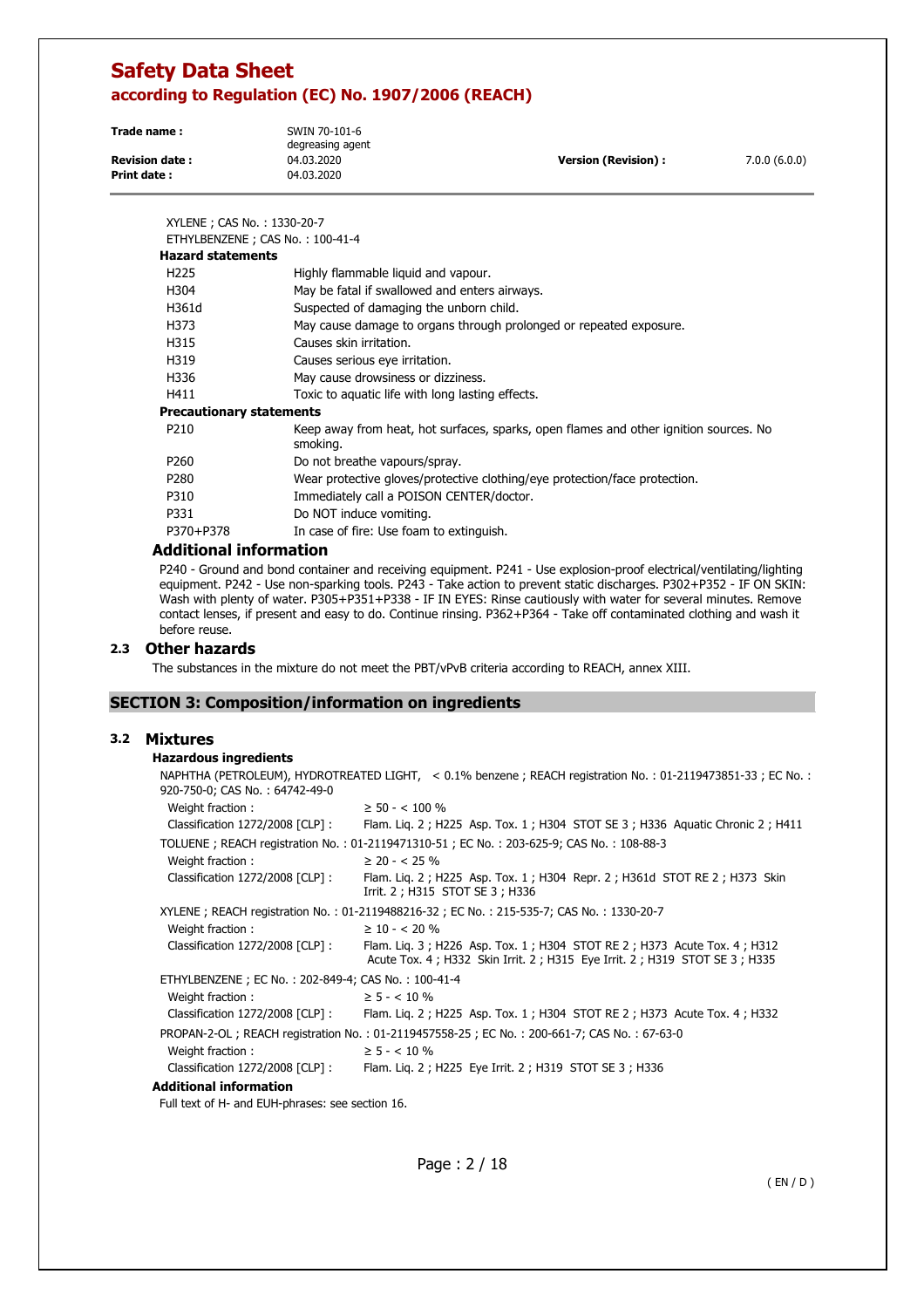| Trade name:           | SWIN 70-101-6<br>degreasing agent |                      |              |
|-----------------------|-----------------------------------|----------------------|--------------|
| <b>Revision date:</b> | 04.03.2020                        | Version (Revision) : | 7.0.0(6.0.0) |
| Print date :          | 04.03.2020                        |                      |              |

| XYLENE ; CAS No.: 1330-20-7<br>ETHYLBENZENE; CAS No.: 100-41-4 |                                                                                                   |
|----------------------------------------------------------------|---------------------------------------------------------------------------------------------------|
| <b>Hazard statements</b>                                       |                                                                                                   |
| H <sub>225</sub>                                               | Highly flammable liquid and vapour.                                                               |
| H304                                                           | May be fatal if swallowed and enters airways.                                                     |
| H361d                                                          | Suspected of damaging the unborn child.                                                           |
| H373                                                           | May cause damage to organs through prolonged or repeated exposure.                                |
| H315                                                           | Causes skin irritation.                                                                           |
| H319                                                           | Causes serious eye irritation.                                                                    |
| H336                                                           | May cause drowsiness or dizziness.                                                                |
| H411                                                           | Toxic to aquatic life with long lasting effects.                                                  |
| <b>Precautionary statements</b>                                |                                                                                                   |
| P <sub>210</sub>                                               | Keep away from heat, hot surfaces, sparks, open flames and other ignition sources. No<br>smoking. |
| P <sub>260</sub>                                               | Do not breathe vapours/spray.                                                                     |
| P280                                                           | Wear protective gloves/protective clothing/eye protection/face protection.                        |
| P310                                                           | Immediately call a POISON CENTER/doctor.                                                          |
| P331                                                           | Do NOT induce vomiting.                                                                           |
| P370+P378                                                      | In case of fire: Use foam to extinguish.                                                          |

### **Additional information**

P240 - Ground and bond container and receiving equipment. P241 - Use explosion-proof electrical/ventilating/lighting equipment. P242 - Use non-sparking tools. P243 - Take action to prevent static discharges. P302+P352 - IF ON SKIN: Wash with plenty of water. P305+P351+P338 - IF IN EYES: Rinse cautiously with water for several minutes. Remove contact lenses, if present and easy to do. Continue rinsing. P362+P364 - Take off contaminated clothing and wash it before reuse.

### **2.3 Other hazards**

The substances in the mixture do not meet the PBT/vPvB criteria according to REACH, annex XIII.

### **SECTION 3: Composition/information on ingredients**

## **3.2 Mixtures**

### **Hazardous ingredients**

| 920-750-0; CAS No.: 64742-49-0                     | NAPHTHA (PETROLEUM), HYDROTREATED LIGHT, < 0.1% benzene ; REACH registration No. : 01-2119473851-33 ; EC No. :                                       |
|----------------------------------------------------|------------------------------------------------------------------------------------------------------------------------------------------------------|
| Weight fraction:                                   | $\geq$ 50 - < 100 %                                                                                                                                  |
| Classification 1272/2008 [CLP] :                   | Flam. Lig. 2; H225 Asp. Tox. 1; H304 STOT SE 3; H336 Aguatic Chronic 2; H411                                                                         |
|                                                    | TOLUENE; REACH registration No.: 01-2119471310-51; EC No.: 203-625-9; CAS No.: 108-88-3                                                              |
| Weight fraction:                                   | $\geq$ 20 - < 25 %                                                                                                                                   |
| Classification 1272/2008 [CLP] :                   | Flam. Liq. 2 ; H225 Asp. Tox. 1 ; H304 Repr. 2 ; H361d STOT RE 2 ; H373 Skin<br>Irrit. 2 ; H315 STOT SE 3 ; H336                                     |
|                                                    | XYLENE; REACH registration No.: 01-2119488216-32; EC No.: 215-535-7; CAS No.: 1330-20-7                                                              |
| Weight fraction:                                   | $\geq 10 - 5.20 \%$                                                                                                                                  |
| Classification 1272/2008 [CLP] :                   | Flam. Lig. 3; H226 Asp. Tox. 1; H304 STOT RE 2; H373 Acute Tox. 4; H312<br>Acute Tox. 4; H332 Skin Irrit. 2; H315 Eye Irrit. 2; H319 STOT SE 3; H335 |
| ETHYLBENZENE; EC No.: 202-849-4; CAS No.: 100-41-4 |                                                                                                                                                      |
| Weight fraction:                                   | $\geq$ 5 - < 10 %                                                                                                                                    |
| Classification $1272/2008$ [CLP] :                 | Flam. Lig. 2; H225 Asp. Tox. 1; H304 STOT RE 2; H373 Acute Tox. 4; H332                                                                              |
|                                                    | PROPAN-2-OL; REACH registration No.: 01-2119457558-25; EC No.: 200-661-7; CAS No.: 67-63-0                                                           |
| Weight fraction:                                   | $\geq 5 - < 10 \%$                                                                                                                                   |
| Classification 1272/2008 [CLP]:                    | Flam. Lig. 2; H225 Eye Irrit. 2; H319 STOT SE 3; H336                                                                                                |
|                                                    |                                                                                                                                                      |

### **Additional information**

Full text of H- and EUH-phrases: see section 16.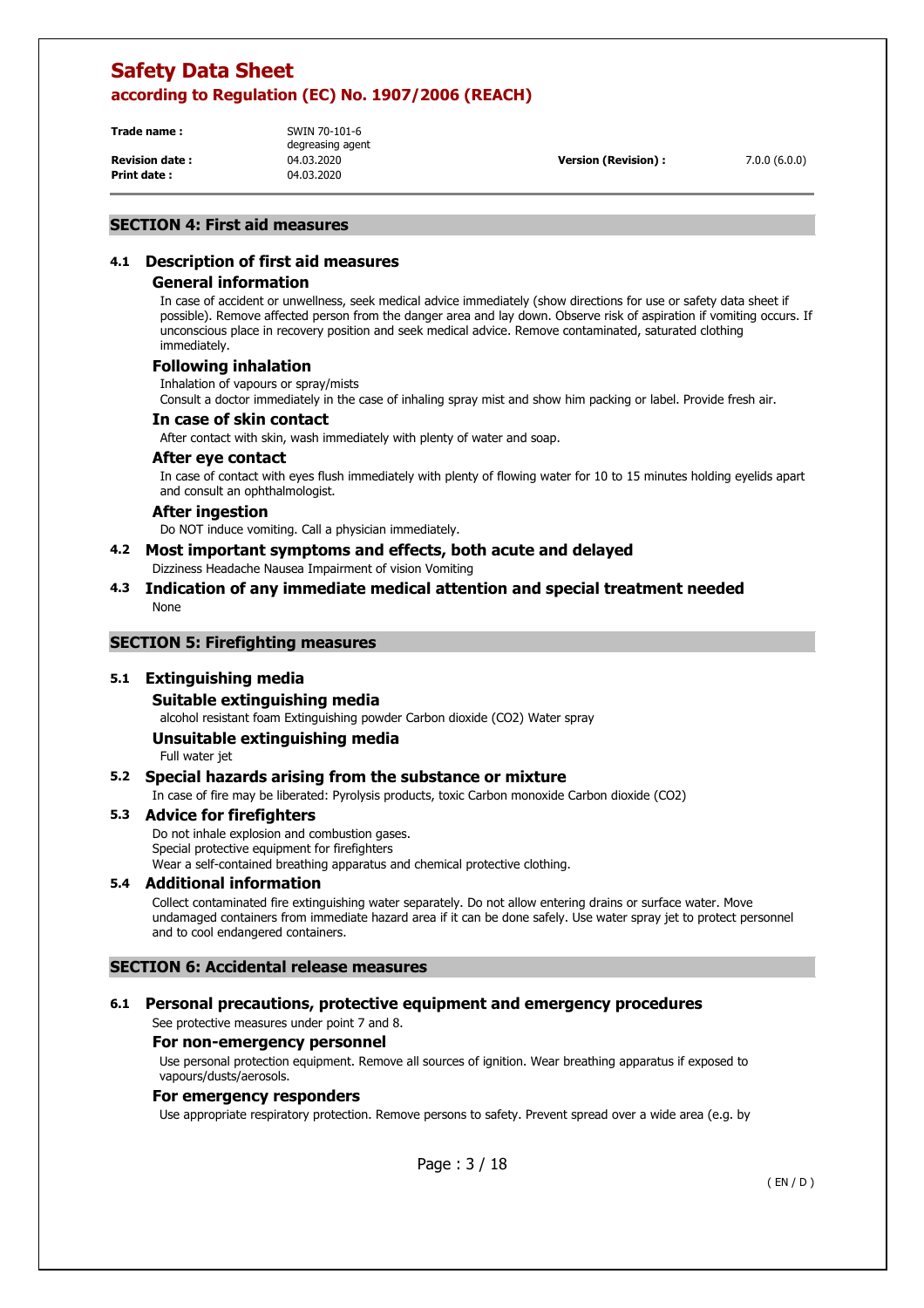**Trade name :** SWIN 70-101-6

**Print date :** 04.03.2020

degreasing agent

**Revision date :** 04.03.2020 **Version (Revision) :** 7.0.0 (6.0.0)

### **SECTION 4: First aid measures**

## **4.1 Description of first aid measures**

### **General information**

In case of accident or unwellness, seek medical advice immediately (show directions for use or safety data sheet if possible). Remove affected person from the danger area and lay down. Observe risk of aspiration if vomiting occurs. If unconscious place in recovery position and seek medical advice. Remove contaminated, saturated clothing immediately.

### **Following inhalation**

Inhalation of vapours or spray/mists

Consult a doctor immediately in the case of inhaling spray mist and show him packing or label. Provide fresh air.

### **In case of skin contact**

After contact with skin, wash immediately with plenty of water and soap.

### **After eye contact**

In case of contact with eyes flush immediately with plenty of flowing water for 10 to 15 minutes holding eyelids apart and consult an ophthalmologist.

### **After ingestion**

Do NOT induce vomiting. Call a physician immediately.

- **4.2 Most important symptoms and effects, both acute and delayed**  Dizziness Headache Nausea Impairment of vision Vomiting
- **4.3 Indication of any immediate medical attention and special treatment needed**  None

### **SECTION 5: Firefighting measures**

### **5.1 Extinguishing media**

### **Suitable extinguishing media**

alcohol resistant foam Extinguishing powder Carbon dioxide (CO2) Water spray

### **Unsuitable extinguishing media**

Full water jet

### **5.2 Special hazards arising from the substance or mixture**

In case of fire may be liberated: Pyrolysis products, toxic Carbon monoxide Carbon dioxide (CO2)

### **5.3 Advice for firefighters**

Do not inhale explosion and combustion gases. Special protective equipment for firefighters Wear a self-contained breathing apparatus and chemical protective clothing.

### **5.4 Additional information**

Collect contaminated fire extinguishing water separately. Do not allow entering drains or surface water. Move undamaged containers from immediate hazard area if it can be done safely. Use water spray jet to protect personnel and to cool endangered containers.

### **SECTION 6: Accidental release measures**

### **6.1 Personal precautions, protective equipment and emergency procedures**

See protective measures under point 7 and 8.

### **For non-emergency personnel**

Use personal protection equipment. Remove all sources of ignition. Wear breathing apparatus if exposed to vapours/dusts/aerosols.

### **For emergency responders**

Use appropriate respiratory protection. Remove persons to safety. Prevent spread over a wide area (e.g. by

Page : 3 / 18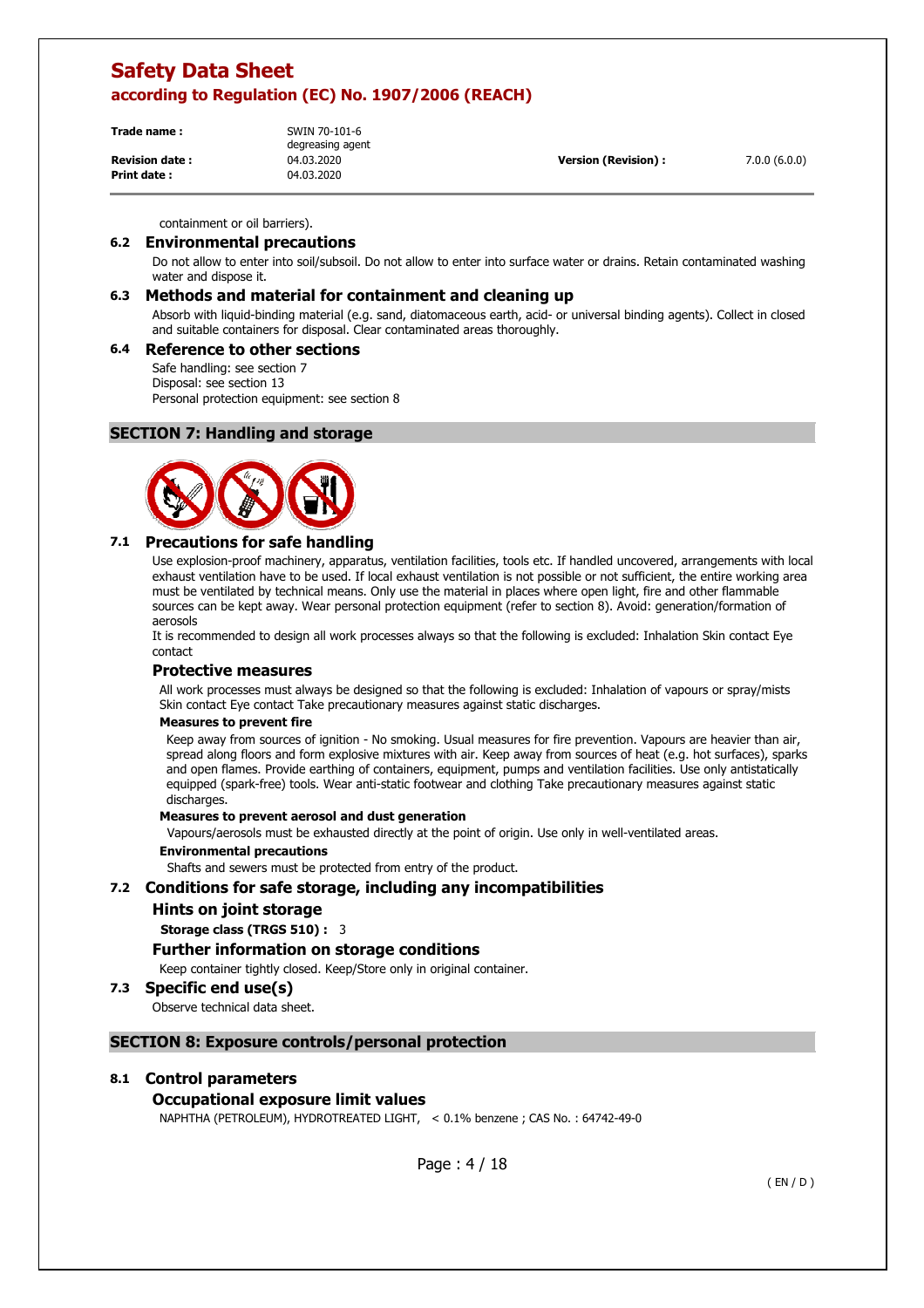| Trade name :          | SWIN 70-101-6<br>degreasing agent |                            |              |
|-----------------------|-----------------------------------|----------------------------|--------------|
| <b>Revision date:</b> | 04.03.2020                        | <b>Version (Revision):</b> | 7.0.0(6.0.0) |
| <b>Print date:</b>    | 04.03.2020                        |                            |              |

containment or oil barriers).

### **6.2 Environmental precautions**

Do not allow to enter into soil/subsoil. Do not allow to enter into surface water or drains. Retain contaminated washing water and dispose it.

### **6.3 Methods and material for containment and cleaning up**

Absorb with liquid-binding material (e.g. sand, diatomaceous earth, acid- or universal binding agents). Collect in closed and suitable containers for disposal. Clear contaminated areas thoroughly.

### **6.4 Reference to other sections**

Safe handling: see section 7 Disposal: see section 13 Personal protection equipment: see section 8

### **SECTION 7: Handling and storage**



### **7.1 Precautions for safe handling**

Use explosion-proof machinery, apparatus, ventilation facilities, tools etc. If handled uncovered, arrangements with local exhaust ventilation have to be used. If local exhaust ventilation is not possible or not sufficient, the entire working area must be ventilated by technical means. Only use the material in places where open light, fire and other flammable sources can be kept away. Wear personal protection equipment (refer to section 8). Avoid: generation/formation of aerosols

It is recommended to design all work processes always so that the following is excluded: Inhalation Skin contact Eye contact

### **Protective measures**

All work processes must always be designed so that the following is excluded: Inhalation of vapours or spray/mists Skin contact Eye contact Take precautionary measures against static discharges.

### **Measures to prevent fire**

Keep away from sources of ignition - No smoking. Usual measures for fire prevention. Vapours are heavier than air, spread along floors and form explosive mixtures with air. Keep away from sources of heat (e.g. hot surfaces), sparks and open flames. Provide earthing of containers, equipment, pumps and ventilation facilities. Use only antistatically equipped (spark-free) tools. Wear anti-static footwear and clothing Take precautionary measures against static discharges.

#### **Measures to prevent aerosol and dust generation**

Vapours/aerosols must be exhausted directly at the point of origin. Use only in well-ventilated areas.

#### **Environmental precautions**

Shafts and sewers must be protected from entry of the product.

### **7.2 Conditions for safe storage, including any incompatibilities**

### **Hints on joint storage**

**Storage class (TRGS 510) :** 3

### **Further information on storage conditions**

Keep container tightly closed. Keep/Store only in original container.

### **7.3 Specific end use(s)**

Observe technical data sheet.

### **SECTION 8: Exposure controls/personal protection**

### **8.1 Control parameters**

### **Occupational exposure limit values**

NAPHTHA (PETROLEUM), HYDROTREATED LIGHT, < 0.1% benzene ; CAS No. : 64742-49-0

Page : 4 / 18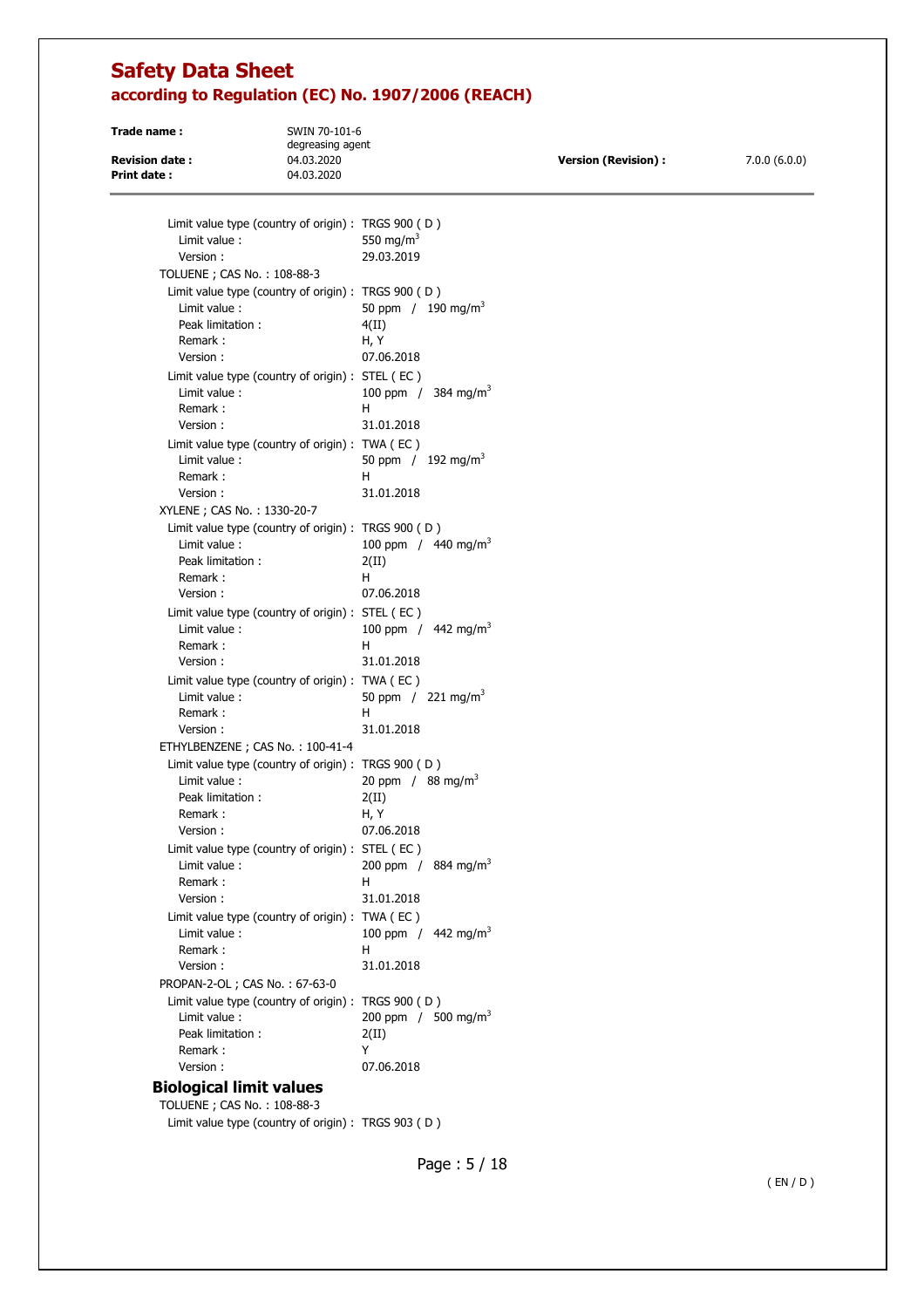**Trade name :** SWIN 70-101-6 degreasing agent **Revision date :** 04.03.2020 **Version (Revision) :** 7.0.0 (6.0.0) **Print date :** 04.03.2020

| Limit value type (country of origin) : TRGS 900 (D)<br>Limit value:<br>Version:<br>TOLUENE ; CAS No.: 108-88-3 | 550 mg/m <sup>3</sup><br>29.03.2019                         |
|----------------------------------------------------------------------------------------------------------------|-------------------------------------------------------------|
| Limit value type (country of origin) : TRGS 900 (D)<br>Limit value:<br>Peak limitation:<br>Remark:<br>Version: | 50 ppm $/190 \text{ mg/m}^3$<br>4(II)<br>H, Y<br>07.06.2018 |
| Limit value type (country of origin) : STEL (EC)<br>Limit value:<br>Remark:<br>Version:                        | 100 ppm / 384 mg/m <sup>3</sup><br>н<br>31.01.2018          |
| Limit value type (country of origin) : TWA (EC)<br>Limit value:<br>Remark:<br>Version:                         | 50 ppm / $192 \text{ mg/m}^3$<br>н<br>31.01.2018            |
| XYLENE; CAS No.: 1330-20-7                                                                                     |                                                             |
| Limit value type (country of origin) : TRGS 900 (D)<br>Limit value:<br>Peak limitation:<br>Remark:             | 100 ppm / $440 \text{ mg/m}^3$<br>2(II)<br>H.               |
| Version:<br>Limit value type (country of origin) : STEL (EC)<br>Limit value:<br>Remark:                        | 07.06.2018<br>100 ppm / $442 \text{ mg/m}^3$<br>н           |
| Version:                                                                                                       | 31.01.2018                                                  |
| Limit value type (country of origin) : TWA (EC)                                                                |                                                             |
| Limit value:                                                                                                   | 50 ppm / $221 \text{ mg/m}^3$                               |
| Remark:                                                                                                        | н                                                           |
| Version:                                                                                                       | 31.01.2018                                                  |
| ETHYLBENZENE; CAS No.: 100-41-4<br>Limit value type (country of origin) : TRGS 900 (D)                         |                                                             |
| Limit value:                                                                                                   | 20 ppm / $88 \text{ mg/m}^3$                                |
| Peak limitation:                                                                                               | 2(II)                                                       |
| Remark:                                                                                                        | H, Y                                                        |
| Version:                                                                                                       | 07.06.2018                                                  |
| Limit value type (country of origin) : STEL (EC)                                                               |                                                             |
| Limit value:<br>Remark:                                                                                        | 200 ppm / 884 mg/m <sup>3</sup><br>н                        |
| Version:                                                                                                       | 31.01.2018                                                  |
| Limit value type (country of origin) : TWA (EC)                                                                |                                                             |
| Limit value :                                                                                                  | 100 ppm / $442 \text{ mg/m}^3$                              |
| Remark:                                                                                                        | н                                                           |
| Version:                                                                                                       | 31.01.2018                                                  |
| PROPAN-2-OL; CAS No.: 67-63-0                                                                                  |                                                             |
| Limit value type (country of origin) : TRGS 900 (D)<br>Limit value:                                            | 200 ppm / 500 mg/m <sup>3</sup>                             |
| Peak limitation:                                                                                               | 2(II)                                                       |
| Remark:                                                                                                        | Y                                                           |
| Version:                                                                                                       | 07.06.2018                                                  |
| <b>Biological limit values</b>                                                                                 |                                                             |
|                                                                                                                |                                                             |

TOLUENE ; CAS No. : 108-88-3 Limit value type (country of origin) : TRGS 903 ( D )

Page : 5 / 18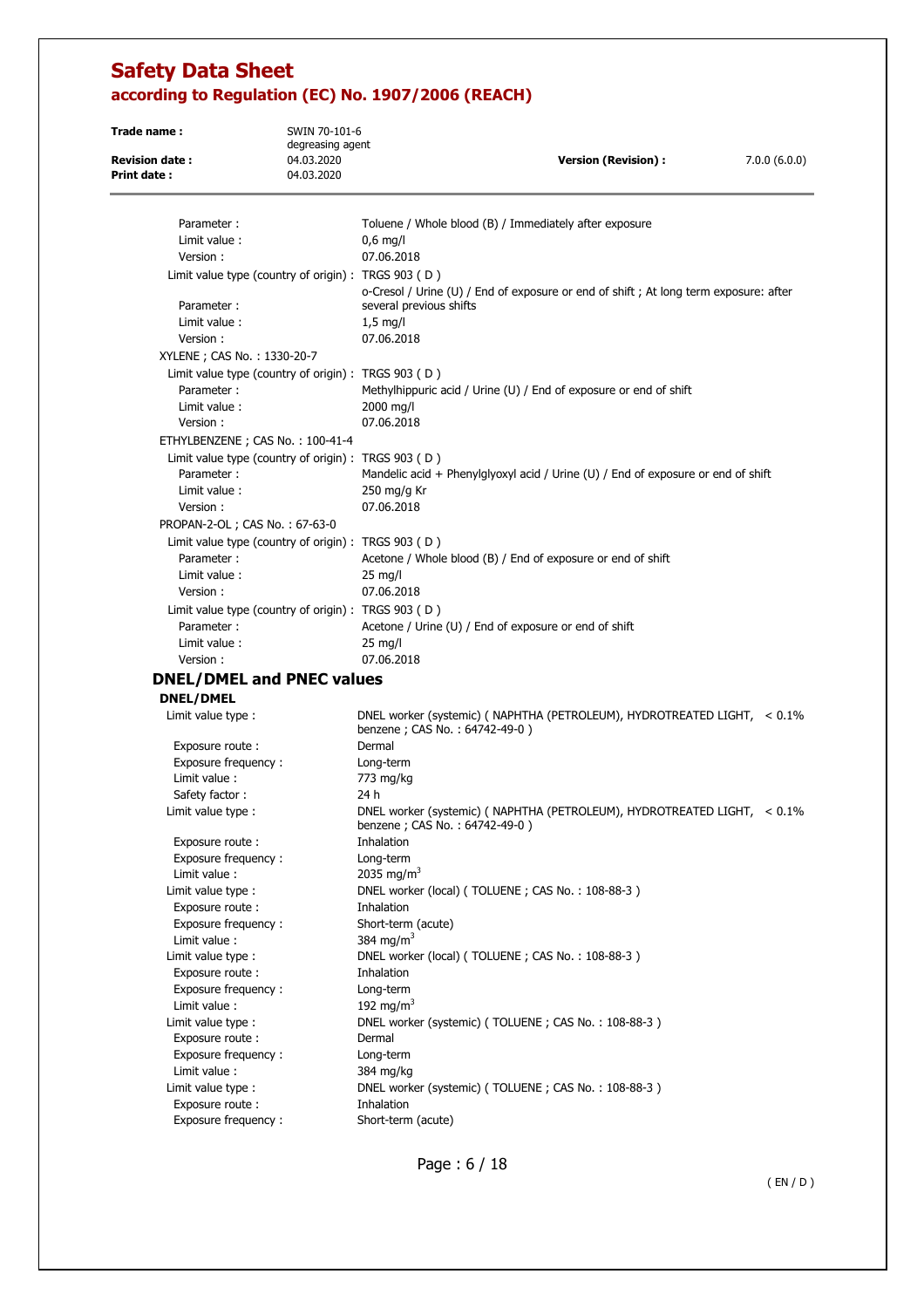| Trade name:                                 | SWIN 70-101-6                                       |                                                                                                           |              |
|---------------------------------------------|-----------------------------------------------------|-----------------------------------------------------------------------------------------------------------|--------------|
|                                             | degreasing agent                                    |                                                                                                           |              |
| <b>Revision date:</b><br><b>Print date:</b> | 04.03.2020<br>04.03.2020                            | <b>Version (Revision):</b>                                                                                | 7.0.0(6.0.0) |
|                                             |                                                     |                                                                                                           |              |
| Parameter:                                  |                                                     | Toluene / Whole blood (B) / Immediately after exposure                                                    |              |
| Limit value :                               |                                                     | $0,6$ mg/l                                                                                                |              |
| Version:                                    |                                                     | 07.06.2018                                                                                                |              |
|                                             | Limit value type (country of origin) : TRGS 903 (D) |                                                                                                           |              |
|                                             |                                                     | o-Cresol / Urine (U) / End of exposure or end of shift; At long term exposure: after                      |              |
| Parameter:<br>Limit value:                  |                                                     | several previous shifts                                                                                   |              |
| Version:                                    |                                                     | $1,5$ mg/l<br>07.06.2018                                                                                  |              |
| XYLENE; CAS No.: 1330-20-7                  |                                                     |                                                                                                           |              |
|                                             | Limit value type (country of origin) : TRGS 903 (D) |                                                                                                           |              |
| Parameter:                                  |                                                     | Methylhippuric acid / Urine (U) / End of exposure or end of shift                                         |              |
| Limit value:                                |                                                     | 2000 mg/l                                                                                                 |              |
| Version:                                    |                                                     | 07.06.2018                                                                                                |              |
|                                             | ETHYLBENZENE; CAS No.: 100-41-4                     |                                                                                                           |              |
|                                             | Limit value type (country of origin) : TRGS 903 (D) |                                                                                                           |              |
| Parameter:                                  |                                                     | Mandelic acid + Phenylglyoxyl acid / Urine (U) / End of exposure or end of shift                          |              |
| Limit value:                                |                                                     | 250 mg/g Kr                                                                                               |              |
| Version:                                    |                                                     | 07.06.2018                                                                                                |              |
| PROPAN-2-OL; CAS No.: 67-63-0               |                                                     |                                                                                                           |              |
|                                             | Limit value type (country of origin) : TRGS 903 (D) |                                                                                                           |              |
| Parameter:                                  |                                                     | Acetone / Whole blood (B) / End of exposure or end of shift                                               |              |
| Limit value:                                |                                                     | $25 \text{ mg/l}$                                                                                         |              |
| Version:                                    |                                                     | 07.06.2018                                                                                                |              |
|                                             | Limit value type (country of origin) : TRGS 903 (D) |                                                                                                           |              |
| Parameter:                                  |                                                     | Acetone / Urine (U) / End of exposure or end of shift                                                     |              |
| Limit value :                               |                                                     | $25 \text{ mg/l}$                                                                                         |              |
| Version:                                    |                                                     | 07.06.2018                                                                                                |              |
|                                             | <b>DNEL/DMEL and PNEC values</b>                    |                                                                                                           |              |
| <b>DNEL/DMEL</b>                            |                                                     |                                                                                                           |              |
| Limit value type :                          |                                                     | DNEL worker (systemic) (NAPHTHA (PETROLEUM), HYDROTREATED LIGHT, < 0.1%<br>benzene; CAS No.: 64742-49-0)  |              |
| Exposure route:                             |                                                     | Dermal                                                                                                    |              |
| Exposure frequency:                         |                                                     | Long-term                                                                                                 |              |
| Limit value :                               |                                                     | 773 mg/kg                                                                                                 |              |
| Safety factor:                              |                                                     | 24 h                                                                                                      |              |
| Limit value type :                          |                                                     | DNEL worker (systemic) ( NAPHTHA (PETROLEUM), HYDROTREATED LIGHT, < 0.1%<br>benzene; CAS No.: 64742-49-0) |              |
| Exposure route:                             |                                                     | Inhalation                                                                                                |              |
| Exposure frequency:                         |                                                     | Long-term                                                                                                 |              |
| Limit value:                                |                                                     | 2035 mg/m <sup>3</sup><br>DNEL worker (local) (TOLUENE; CAS No.: 108-88-3)                                |              |
| Limit value type :<br>Exposure route :      |                                                     | Inhalation                                                                                                |              |
| Exposure frequency:                         |                                                     | Short-term (acute)                                                                                        |              |
| Limit value :                               |                                                     | 384 mg/m <sup>3</sup>                                                                                     |              |
| Limit value type :                          |                                                     | DNEL worker (local) (TOLUENE; CAS No.: 108-88-3)                                                          |              |
| Exposure route:                             |                                                     | Inhalation                                                                                                |              |
| Exposure frequency:                         |                                                     | Long-term                                                                                                 |              |
| Limit value :                               |                                                     | 192 mg/m <sup>3</sup>                                                                                     |              |
| Limit value type :                          |                                                     | DNEL worker (systemic) (TOLUENE; CAS No.: 108-88-3)                                                       |              |
| Exposure route :                            |                                                     | Dermal                                                                                                    |              |
| Exposure frequency:                         |                                                     | Long-term                                                                                                 |              |
| Limit value:                                |                                                     | 384 mg/kg                                                                                                 |              |
| Limit value type :                          |                                                     | DNEL worker (systemic) (TOLUENE; CAS No.: 108-88-3)                                                       |              |
| Exposure route :                            |                                                     | Inhalation                                                                                                |              |
| Exposure frequency:                         |                                                     | Short-term (acute)                                                                                        |              |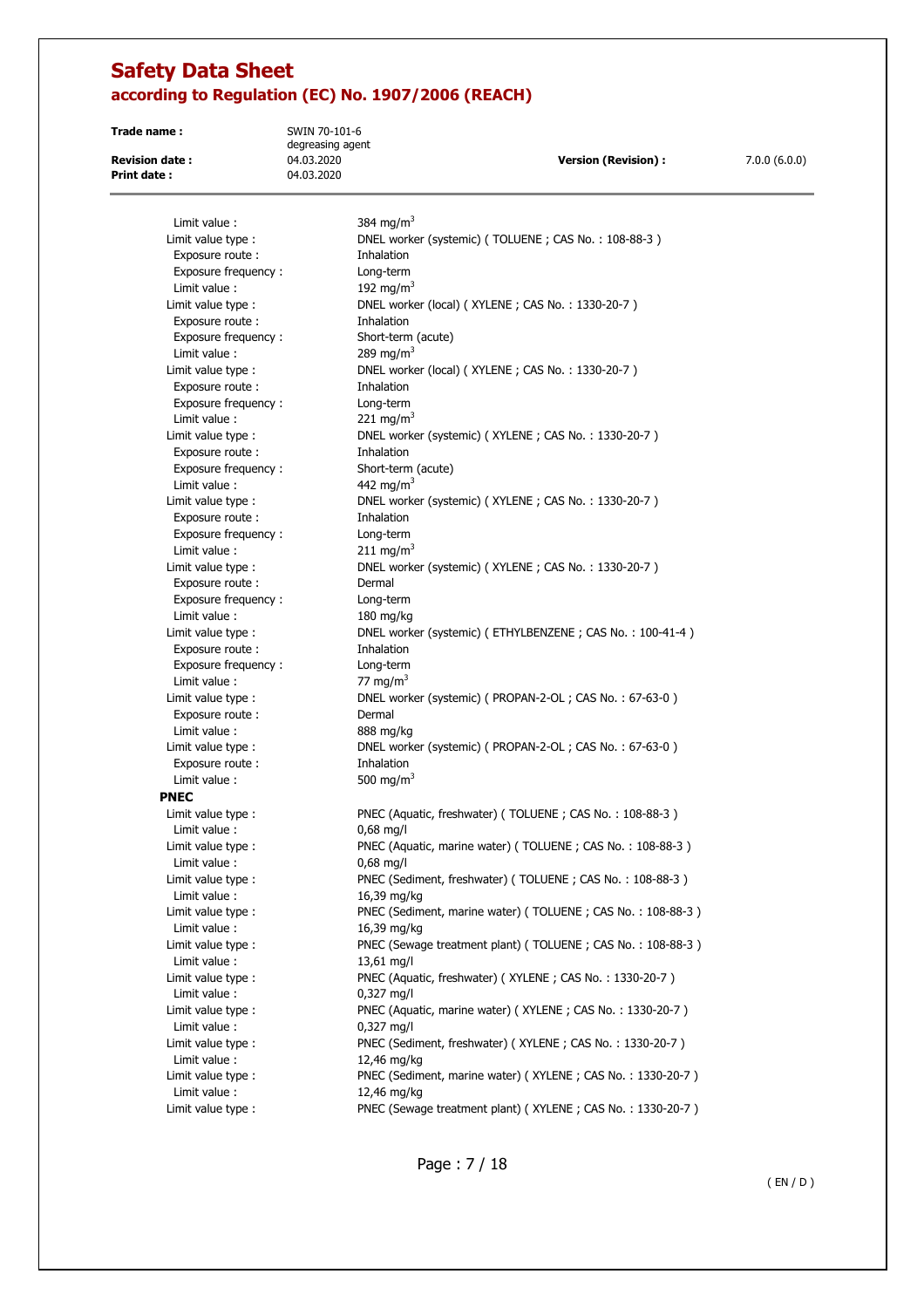**Trade name :** SWIN 70-101-6 degreasing agent **Print date :** 04.03.2020

**Revision date :** 04.03.2020 **Version (Revision) :** 7.0.0 (6.0.0)

| Limit value:        | 384 mg/m <sup>3</sup>                                      |
|---------------------|------------------------------------------------------------|
| Limit value type :  | DNEL worker (systemic) (TOLUENE; CAS No.: 108-88-3)        |
| Exposure route:     | Inhalation                                                 |
| Exposure frequency: | Long-term                                                  |
| Limit value:        | 192 mg/m <sup>3</sup>                                      |
| Limit value type :  | DNEL worker (local) (XYLENE; CAS No.: 1330-20-7)           |
| Exposure route :    | Inhalation                                                 |
| Exposure frequency: | Short-term (acute)                                         |
| Limit value:        | 289 mg/m <sup>3</sup>                                      |
| Limit value type :  | DNEL worker (local) (XYLENE; CAS No.: 1330-20-7)           |
| Exposure route :    | Inhalation                                                 |
| Exposure frequency: | Long-term                                                  |
| Limit value:        | 221 mg/m <sup>3</sup>                                      |
| Limit value type :  | DNEL worker (systemic) (XYLENE; CAS No.: 1330-20-7)        |
| Exposure route :    | Inhalation                                                 |
| Exposure frequency: | Short-term (acute)                                         |
| Limit value:        | 442 mg/m <sup>3</sup>                                      |
| Limit value type :  | DNEL worker (systemic) (XYLENE; CAS No.: 1330-20-7)        |
| Exposure route :    | Inhalation                                                 |
| Exposure frequency: | Long-term                                                  |
| Limit value :       | 211 mg/m <sup>3</sup>                                      |
| Limit value type :  | DNEL worker (systemic) (XYLENE; CAS No.: 1330-20-7)        |
| Exposure route :    | Dermal                                                     |
| Exposure frequency: | Long-term                                                  |
| Limit value :       | $180$ mg/kg                                                |
| Limit value type :  | DNEL worker (systemic) (ETHYLBENZENE; CAS No.: 100-41-4)   |
| Exposure route:     | Inhalation                                                 |
| Exposure frequency: | Long-term                                                  |
| Limit value:        | 77 mg/m <sup>3</sup>                                       |
| Limit value type :  | DNEL worker (systemic) ( PROPAN-2-OL; CAS No.: 67-63-0)    |
| Exposure route:     | Dermal                                                     |
| Limit value :       | 888 mg/kg                                                  |
| Limit value type :  | DNEL worker (systemic) (PROPAN-2-OL; CAS No.: 67-63-0)     |
| Exposure route:     | Inhalation                                                 |
| Limit value :       | 500 mg/m <sup>3</sup>                                      |
| <b>PNEC</b>         |                                                            |
| Limit value type:   | PNEC (Aquatic, freshwater) (TOLUENE; CAS No.: 108-88-3)    |
| Limit value:        | $0,68$ mg/l                                                |
| Limit value type :  | PNEC (Aquatic, marine water) (TOLUENE; CAS No.: 108-88-3)  |
| Limit value:        | $0,68$ mg/l                                                |
| Limit value type :  | PNEC (Sediment, freshwater) (TOLUENE; CAS No.: 108-88-3)   |
| Limit value:        | 16,39 mg/kg                                                |
| Limit value type :  | PNEC (Sediment, marine water) (TOLUENE; CAS No.: 108-88-3) |
| Limit value :       | 16,39 mg/kg                                                |
| Limit value type :  | PNEC (Sewage treatment plant) (TOLUENE; CAS No.: 108-88-3) |
| Limit value:        | 13,61 mg/l                                                 |
| Limit value type :  | PNEC (Aquatic, freshwater) (XYLENE; CAS No.: 1330-20-7)    |
| Limit value :       | $0,327$ mg/l                                               |
| Limit value type :  | PNEC (Aquatic, marine water) (XYLENE; CAS No.: 1330-20-7)  |
| Limit value :       | $0,327$ mg/l                                               |
| Limit value type :  | PNEC (Sediment, freshwater) (XYLENE; CAS No.: 1330-20-7)   |
| Limit value :       | 12,46 mg/kg                                                |
| Limit value type :  | PNEC (Sediment, marine water) (XYLENE; CAS No.: 1330-20-7) |
| Limit value :       | 12,46 mg/kg                                                |
| Limit value type :  | PNEC (Sewage treatment plant) (XYLENE; CAS No.: 1330-20-7) |

Page : 7 / 18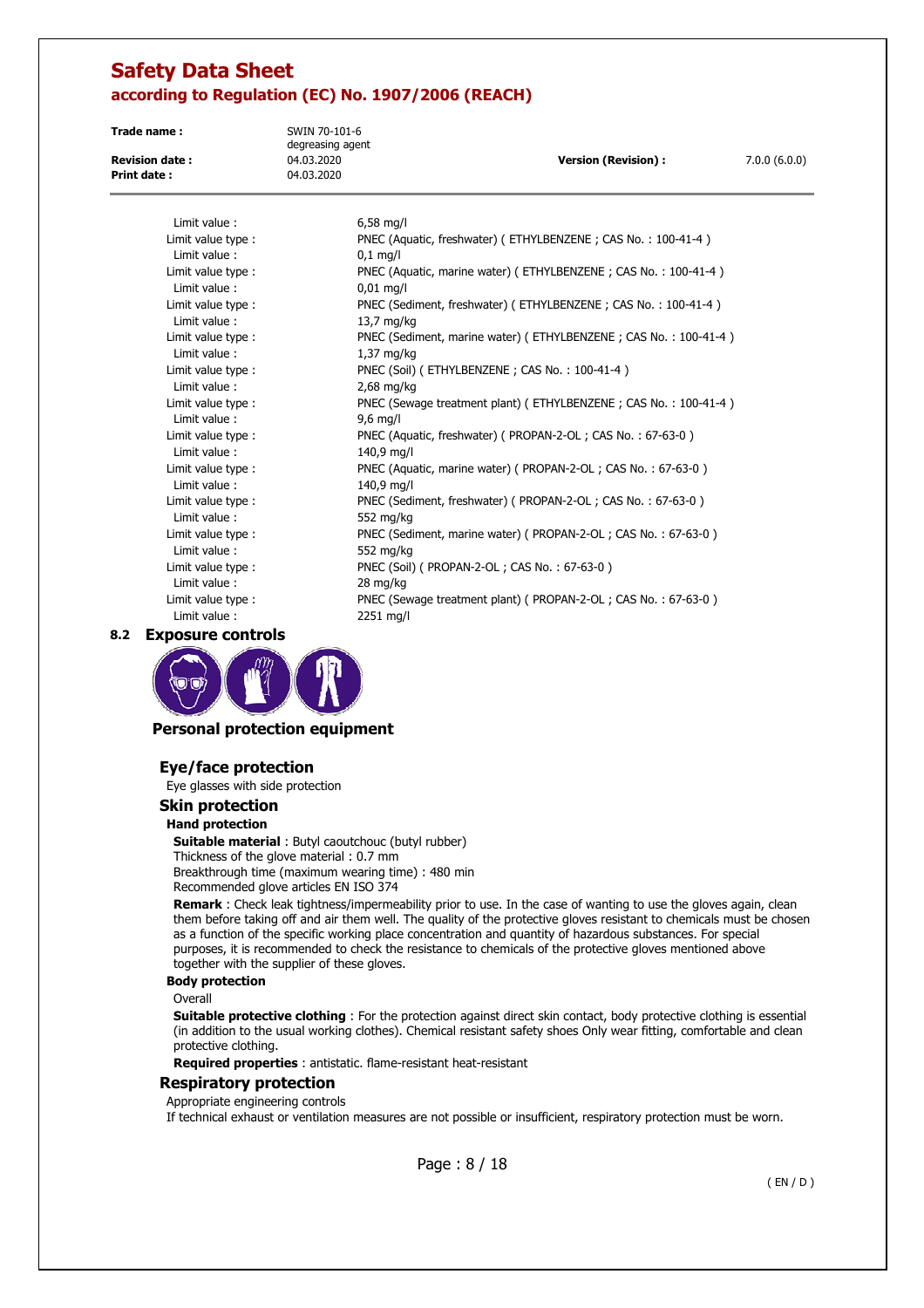**Trade name :** SWIN 70-101-6 degreasing agent **Revision date :** 04.03.2020 **Version (Revision) :** 7.0.0 (6.0.0) **Print date :** 04.03.2020

| Limit value:       | $6,58$ mg/l                                                     |
|--------------------|-----------------------------------------------------------------|
| Limit value type : | PNEC (Aquatic, freshwater) (ETHYLBENZENE; CAS No.: 100-41-4)    |
| Limit value:       | $0,1$ mg/l                                                      |
| Limit value type : | PNEC (Aquatic, marine water) (ETHYLBENZENE; CAS No.: 100-41-4)  |
| Limit value:       | $0.01$ mg/l                                                     |
| Limit value type : | PNEC (Sediment, freshwater) (ETHYLBENZENE; CAS No.: 100-41-4)   |
| Limit value:       | 13,7 mg/kg                                                      |
| Limit value type : | PNEC (Sediment, marine water) (ETHYLBENZENE; CAS No.: 100-41-4) |
| Limit value:       | $1,37$ mg/kg                                                    |
| Limit value type : | PNEC (Soil) (ETHYLBENZENE; CAS No.: 100-41-4)                   |
| Limit value:       | $2,68$ mg/kg                                                    |
| Limit value type : | PNEC (Sewage treatment plant) (ETHYLBENZENE; CAS No.: 100-41-4) |
| Limit value:       | $9,6$ mg/l                                                      |
| Limit value type : | PNEC (Aquatic, freshwater) (PROPAN-2-OL; CAS No.: 67-63-0)      |
| Limit value:       | 140,9 mg/l                                                      |
| Limit value type : | PNEC (Aquatic, marine water) (PROPAN-2-OL; CAS No.: 67-63-0)    |
| Limit value:       | 140,9 mg/l                                                      |
| Limit value type:  | PNEC (Sediment, freshwater) (PROPAN-2-OL; CAS No.: 67-63-0)     |
| Limit value:       | 552 mg/kg                                                       |
| Limit value type:  | PNEC (Sediment, marine water) (PROPAN-2-OL; CAS No.: 67-63-0)   |
| Limit value:       | 552 mg/kg                                                       |
| Limit value type : | PNEC (Soil) ( PROPAN-2-OL; CAS No.: 67-63-0)                    |
| Limit value:       | 28 mg/kg                                                        |
| Limit value type : | PNEC (Sewage treatment plant) (PROPAN-2-OL; CAS No.: 67-63-0)   |
| Limit value:       | 2251 mg/l                                                       |
|                    |                                                                 |

**8.2 Exposure controls** 



## **Personal protection equipment**

## **Eye/face protection**

Eye glasses with side protection

### **Skin protection**

### **Hand protection**

**Suitable material** : Butyl caoutchouc (butyl rubber) Thickness of the glove material : 0.7 mm Breakthrough time (maximum wearing time) : 480 min Recommended glove articles EN ISO 374

**Remark** : Check leak tightness/impermeability prior to use. In the case of wanting to use the gloves again, clean them before taking off and air them well. The quality of the protective gloves resistant to chemicals must be chosen as a function of the specific working place concentration and quantity of hazardous substances. For special purposes, it is recommended to check the resistance to chemicals of the protective gloves mentioned above together with the supplier of these gloves.

### **Body protection**

### **Overall**

**Suitable protective clothing** : For the protection against direct skin contact, body protective clothing is essential (in addition to the usual working clothes). Chemical resistant safety shoes Only wear fitting, comfortable and clean protective clothing.

**Required properties** : antistatic. flame-resistant heat-resistant

### **Respiratory protection**

Appropriate engineering controls

If technical exhaust or ventilation measures are not possible or insufficient, respiratory protection must be worn.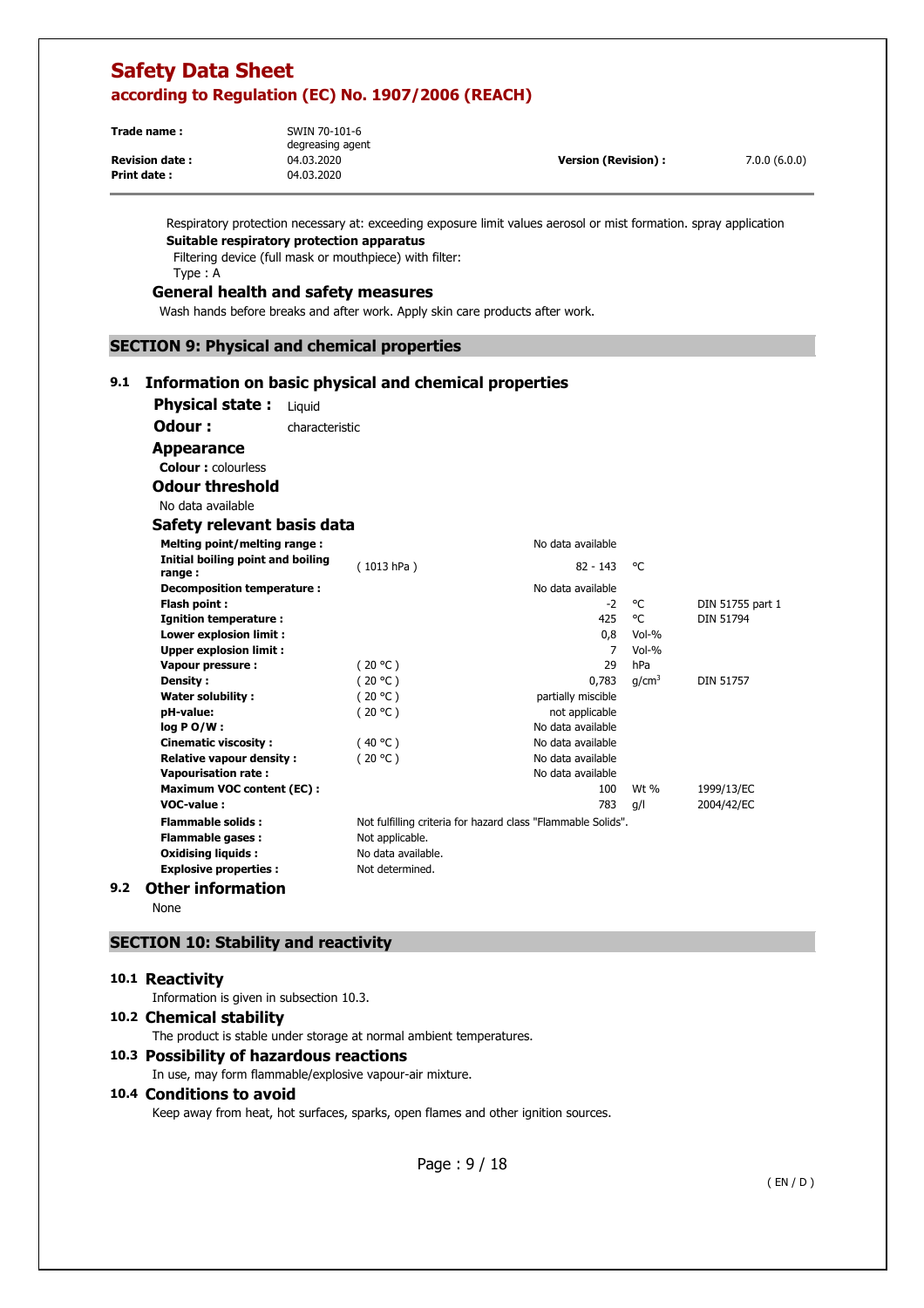| Trade name:           | SWIN 70-101-6<br>degreasing agent |                            |              |
|-----------------------|-----------------------------------|----------------------------|--------------|
| <b>Revision date:</b> | 04.03.2020                        | <b>Version (Revision):</b> | 7.0.0(6.0.0) |
| <b>Print date:</b>    | 04.03.2020                        |                            |              |

Respiratory protection necessary at: exceeding exposure limit values aerosol or mist formation. spray application **Suitable respiratory protection apparatus** 

Filtering device (full mask or mouthpiece) with filter: Type : A

# **General health and safety measures**

Wash hands before breaks and after work. Apply skin care products after work.

### **SECTION 9: Physical and chemical properties**

### **9.1 Information on basic physical and chemical properties**

| <b>Physical state:</b><br>Liguid            |                    |                                                              |                   |                  |
|---------------------------------------------|--------------------|--------------------------------------------------------------|-------------------|------------------|
| Odour:                                      | characteristic     |                                                              |                   |                  |
| <b>Appearance</b>                           |                    |                                                              |                   |                  |
| <b>Colour:</b> colourless                   |                    |                                                              |                   |                  |
| <b>Odour threshold</b>                      |                    |                                                              |                   |                  |
| No data available                           |                    |                                                              |                   |                  |
| Safety relevant basis data                  |                    |                                                              |                   |                  |
| Melting point/melting range:                |                    | No data available                                            |                   |                  |
| Initial boiling point and boiling           | (1013 hPa)         | $82 - 143$                                                   | °€                |                  |
| range:<br><b>Decomposition temperature:</b> |                    | No data available                                            |                   |                  |
| Flash point:                                |                    | $-2$                                                         | °C                | DIN 51755 part 1 |
| Ignition temperature :                      |                    | 425                                                          | °C                | <b>DIN 51794</b> |
| <b>Lower explosion limit:</b>               |                    | 0,8                                                          | $Vol-%$           |                  |
| <b>Upper explosion limit:</b>               |                    | 7                                                            | $Vol-9$           |                  |
| Vapour pressure :                           | (20 °C)            | 29                                                           | hPa               |                  |
| Density:                                    | (20 °C)            | 0.783                                                        | q/cm <sup>3</sup> | <b>DIN 51757</b> |
| <b>Water solubility:</b>                    | (20 °C)            | partially miscible                                           |                   |                  |
| pH-value:                                   | (20 °C)            | not applicable                                               |                   |                  |
| $log PO/W$ :                                |                    | No data available                                            |                   |                  |
| <b>Cinematic viscosity:</b>                 | (40 °C)            | No data available                                            |                   |                  |
| <b>Relative vapour density:</b>             | (20 °C)            | No data available                                            |                   |                  |
| <b>Vapourisation rate:</b>                  |                    | No data available                                            |                   |                  |
| <b>Maximum VOC content (EC):</b>            |                    | 100                                                          | Wt $%$            | 1999/13/EC       |
| VOC-value:                                  |                    | 783                                                          | q/l               | 2004/42/EC       |
| <b>Flammable solids:</b>                    |                    | Not fulfilling criteria for hazard class "Flammable Solids". |                   |                  |
| <b>Flammable gases:</b>                     | Not applicable.    |                                                              |                   |                  |
| <b>Oxidising liquids:</b>                   | No data available. |                                                              |                   |                  |
| <b>Explosive properties:</b>                | Not determined.    |                                                              |                   |                  |
| Other information                           |                    |                                                              |                   |                  |

## **9.2 Other information**

None

### **SECTION 10: Stability and reactivity**

### **10.1 Reactivity**

Information is given in subsection 10.3.

## **10.2 Chemical stability**

The product is stable under storage at normal ambient temperatures.

### **10.3 Possibility of hazardous reactions**

In use, may form flammable/explosive vapour-air mixture.

### **10.4 Conditions to avoid**

Keep away from heat, hot surfaces, sparks, open flames and other ignition sources.

Page : 9 / 18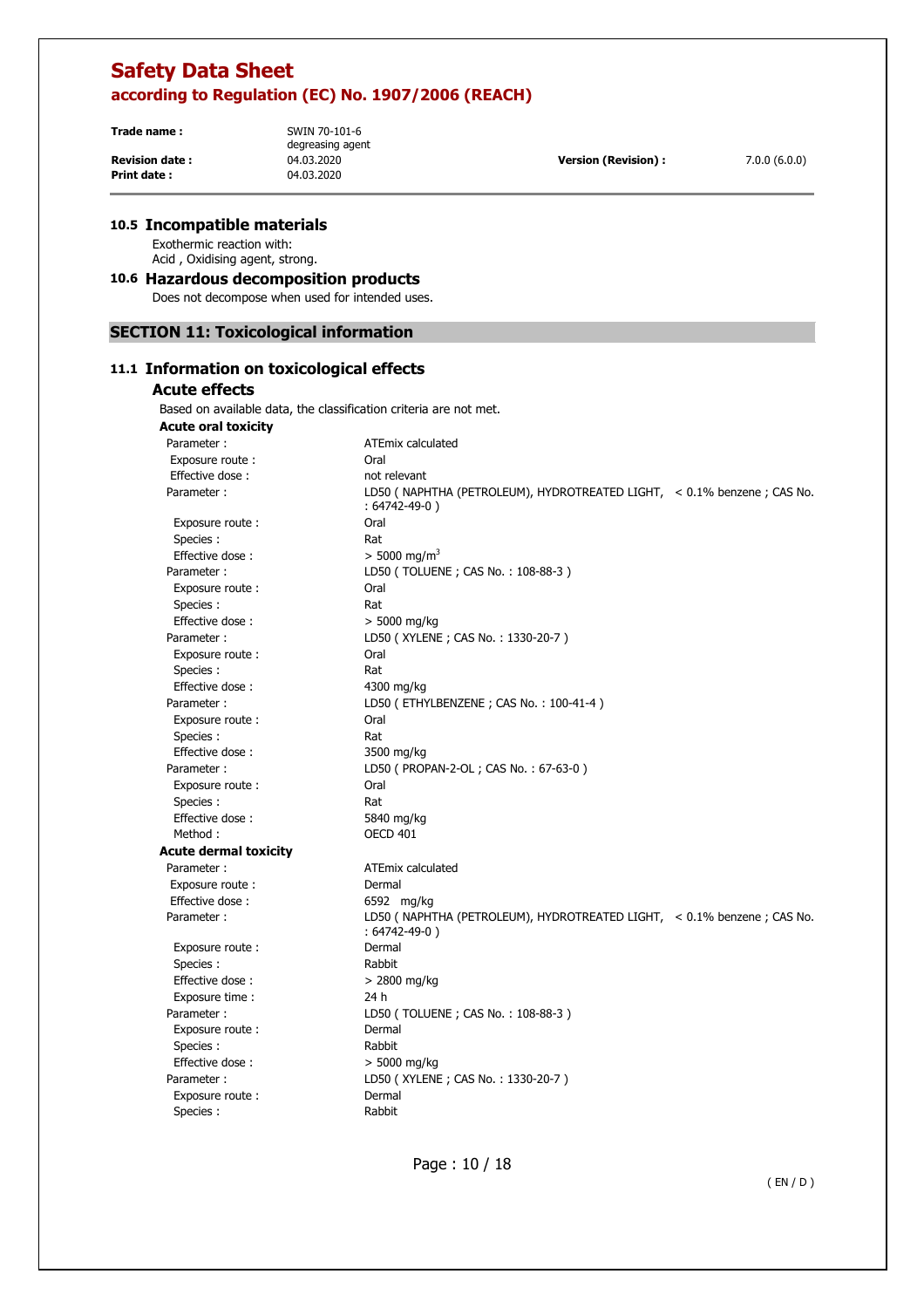**Trade name :** SWIN 70-101-6 **Revision date :** 04.03.2020 **Version (Revision) :** 7.0.0 (6.0.0) **Print date :** 04.03.2020

degreasing agent

## **10.5 Incompatible materials**

Exothermic reaction with: Acid , Oxidising agent, strong.

### **10.6 Hazardous decomposition products**

Does not decompose when used for intended uses.

## **SECTION 11: Toxicological information**

## **11.1 Information on toxicological effects**

## **Acute effects**

Based on available data, the classification criteria are not met.

| <b>Acute oral toxicity</b>   |                                                                                                 |
|------------------------------|-------------------------------------------------------------------------------------------------|
| Parameter:                   | <b>ATEmix calculated</b>                                                                        |
| Exposure route:              | Oral                                                                                            |
| Effective dose:              | not relevant                                                                                    |
| Parameter:                   | LD50 ( NAPHTHA (PETROLEUM), HYDROTREATED LIGHT, $\sim 0.1\%$ benzene; CAS No.<br>: 64742-49-0 ) |
| Exposure route:              | Oral                                                                                            |
| Species:                     | Rat                                                                                             |
| Effective dose:              | $> 5000$ mg/m <sup>3</sup>                                                                      |
| Parameter:                   | LD50 (TOLUENE ; CAS No.: 108-88-3)                                                              |
| Exposure route:              | Oral                                                                                            |
| Species :                    | Rat                                                                                             |
| Effective dose:              | $> 5000$ mg/kg                                                                                  |
| Parameter:                   | LD50 (XYLENE; CAS No.: 1330-20-7)                                                               |
| Exposure route:              | Oral                                                                                            |
| Species :                    | Rat                                                                                             |
| Effective dose:              | 4300 mg/kg                                                                                      |
| Parameter:                   | LD50 (ETHYLBENZENE; CAS No.: 100-41-4)                                                          |
| Exposure route:              | Oral                                                                                            |
| Species:                     | Rat                                                                                             |
| Effective dose:              | 3500 mg/kg                                                                                      |
| Parameter:                   | LD50 ( PROPAN-2-OL ; CAS No.: 67-63-0 )                                                         |
| Exposure route:              | Oral                                                                                            |
| Species :                    | Rat                                                                                             |
| Effective dose:              | 5840 mg/kg                                                                                      |
| Method:                      | <b>OECD 401</b>                                                                                 |
| <b>Acute dermal toxicity</b> |                                                                                                 |
| Parameter:                   | <b>ATEmix calculated</b>                                                                        |
| Exposure route:              | Dermal                                                                                          |
| Effective dose:              | 6592 mg/kg                                                                                      |
| Parameter:                   | LD50 (NAPHTHA (PETROLEUM), HYDROTREATED LIGHT, < 0.1% benzene ; CAS No.<br>$: 64742 - 49 - 0)$  |
| Exposure route:              | Dermal                                                                                          |
| Species :                    | Rabbit                                                                                          |
| Effective dose:              | $> 2800$ mg/kg                                                                                  |
| Exposure time :              | 24 h                                                                                            |
| Parameter:                   | LD50 (TOLUENE; CAS No.: 108-88-3)                                                               |
| Exposure route:              | Dermal                                                                                          |
| Species :                    | Rabbit                                                                                          |
| Effective dose:              | $>$ 5000 mg/kg                                                                                  |
| Parameter:                   | LD50 (XYLENE; CAS No.: 1330-20-7)                                                               |
| Exposure route:              | Dermal                                                                                          |
| Species:                     | Rabbit                                                                                          |

Page : 10 / 18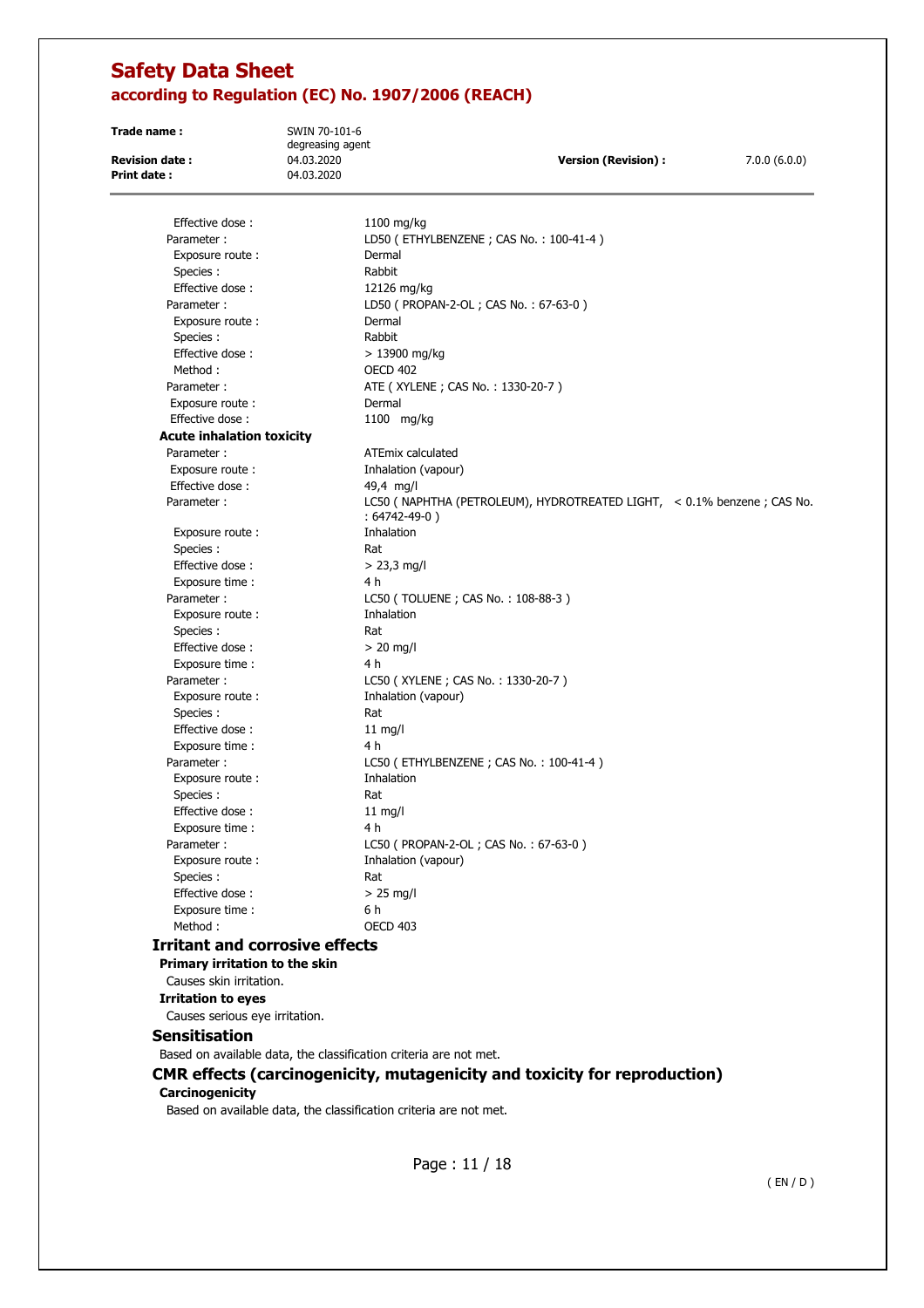**Trade name :** SWIN 70-101-6 degreasing agent **Revision date :** 04.03.2020 **Version (Revision) :** 7.0.0 (6.0.0) **Print date :** 04.03.2020 Effective dose : 1100 mg/kg Parameter : LD50 (ETHYLBENZENE ; CAS No. : 100-41-4) Exposure route : Dermal Species : Rabbit Effective dose : 12126 mg/kg Parameter : LD50 ( PROPAN-2-OL ; CAS No. : 67-63-0 ) Exposure route : Dermal Species : Rabbit Effective dose : > 13900 mg/kg Method : OECD 402 Parameter : <br>ATE ( XYLENE ; CAS No. : 1330-20-7 ) Exposure route : Dermal Effective dose : 1100 mg/kg **Acute inhalation toxicity**  Parameter : ATEmix calculated Exposure route : Inhalation (vapour) Effective dose : 49,4 mg/l Parameter : LC50 ( NAPHTHA (PETROLEUM), HYDROTREATED LIGHT, < 0.1% benzene ; CAS No. : 64742-49-0 ) Exposure route : Thhalation Species : Rat Effective dose :  $> 23.3$  mg/l Exposure time : 4 h Parameter : LC50 ( TOLUENE ; CAS No. : 108-88-3 ) Exposure route : Thhalation Species : Rat Effective dose :  $> 20$  mg/l Exposure time : 4 h Parameter : LC50 ( XYLENE ; CAS No. : 1330-20-7 ) Exposure route : Inhalation (vapour) Species : Rat Rat Effective dose : Rat Rat Effective dose : Rat Rat All mg/l Effective dose : Exposure time : 4 h Parameter : LC50 (ETHYLBENZENE ; CAS No. : 100-41-4) Exposure route : Thhalation Species : Rational Species : Rational Species : Rational Species of Rational Species of Rational Species of Rational Species of Rational Species of Rational Species of Rational Species of Rational Species of Rational Speci Effective dose : 11 mg/l Exposure time : 4 h Parameter : LC50 ( PROPAN-2-OL ; CAS No. : 67-63-0 ) Exposure route : Thalation (vapour) Species : Rat Effective dose :  $> 25$  mg/l Exposure time : 6 h Method : CECD 403 **Irritant and corrosive effects Primary irritation to the skin**  Causes skin irritation. **Irritation to eyes**  Causes serious eye irritation. **Sensitisation**  Based on available data, the classification criteria are not met.

**CMR effects (carcinogenicity, mutagenicity and toxicity for reproduction)** 

### **Carcinogenicity**

Based on available data, the classification criteria are not met.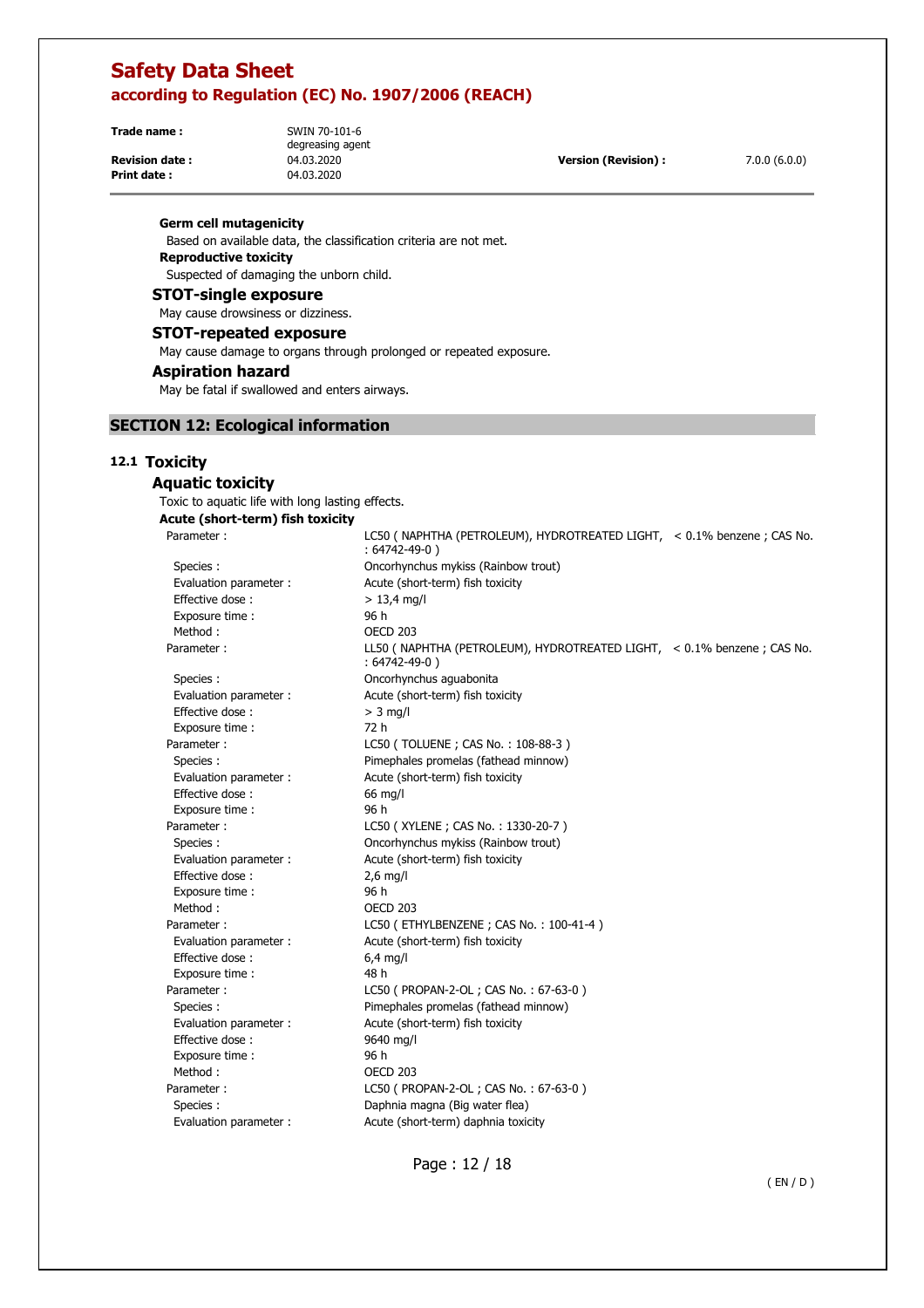**Trade name :** SWIN 70-101-6

**Print date :** 04.03.2020

degreasing agent

**Revision date :** 04.03.2020 **Version (Revision) :** 7.0.0 (6.0.0)

#### **Germ cell mutagenicity**

 Based on available data, the classification criteria are not met. **Reproductive toxicity**  Suspected of damaging the unborn child.

### **STOT-single exposure**

May cause drowsiness or dizziness.

### **STOT-repeated exposure**

May cause damage to organs through prolonged or repeated exposure.

### **Aspiration hazard**

May be fatal if swallowed and enters airways.

## **SECTION 12: Ecological information**

### **12.1 Toxicity**

## **Aquatic toxicity**

 Toxic to aquatic life with long lasting effects. **Acute (short-term) fish toxicity**  Parameter : LC50 ( NAPHTHA (PETROLEUM), HYDROTREATED LIGHT, < 0.1% benzene ; CAS No.

|                        | $: 64742 - 49 - 0)$                                                                            |
|------------------------|------------------------------------------------------------------------------------------------|
| Species :              | Oncorhynchus mykiss (Rainbow trout)                                                            |
| Evaluation parameter : | Acute (short-term) fish toxicity                                                               |
| Effective dose:        | $> 13,4$ mg/l                                                                                  |
| Exposure time:         | 96 h                                                                                           |
| Method:                | <b>OECD 203</b>                                                                                |
| Parameter:             | LL50 (NAPHTHA (PETROLEUM), HYDROTREATED LIGHT, < 0.1% benzene ; CAS No.<br>$: 64742 - 49 - 0)$ |
| Species:               | Oncorhynchus aguabonita                                                                        |
| Evaluation parameter : | Acute (short-term) fish toxicity                                                               |
| Effective dose:        | $>$ 3 mg/l                                                                                     |
| Exposure time :        | 72 h                                                                                           |
| Parameter :            | LC50 (TOLUENE; CAS No.: 108-88-3)                                                              |
| Species :              | Pimephales promelas (fathead minnow)                                                           |
| Evaluation parameter : | Acute (short-term) fish toxicity                                                               |
| Effective dose:        | 66 mg/l                                                                                        |
| Exposure time:         | 96 h                                                                                           |
| Parameter:             | LC50 (XYLENE; CAS No.: 1330-20-7)                                                              |
| Species:               | Oncorhynchus mykiss (Rainbow trout)                                                            |
| Evaluation parameter : | Acute (short-term) fish toxicity                                                               |
| Effective dose:        | $2,6$ mg/l                                                                                     |
| Exposure time :        | 96 h                                                                                           |
| Method:                | OECD <sub>203</sub>                                                                            |
| Parameter:             | LC50 (ETHYLBENZENE; CAS No.: 100-41-4)                                                         |
| Evaluation parameter : | Acute (short-term) fish toxicity                                                               |
| Effective dose:        | $6,4$ mg/l                                                                                     |
| Exposure time :        | 48 h                                                                                           |
| Parameter:             | LC50 ( PROPAN-2-OL ; CAS No.: 67-63-0 )                                                        |
| Species:               | Pimephales promelas (fathead minnow)                                                           |
| Evaluation parameter : | Acute (short-term) fish toxicity                                                               |
| Effective dose:        | 9640 mg/l                                                                                      |
| Exposure time :        | 96 h                                                                                           |
| Method:                | <b>OECD 203</b>                                                                                |
| Parameter :            | LC50 ( PROPAN-2-OL ; CAS No.: 67-63-0 )                                                        |
| Species :              | Daphnia magna (Big water flea)                                                                 |
| Evaluation parameter : | Acute (short-term) daphnia toxicity                                                            |

Page : 12 / 18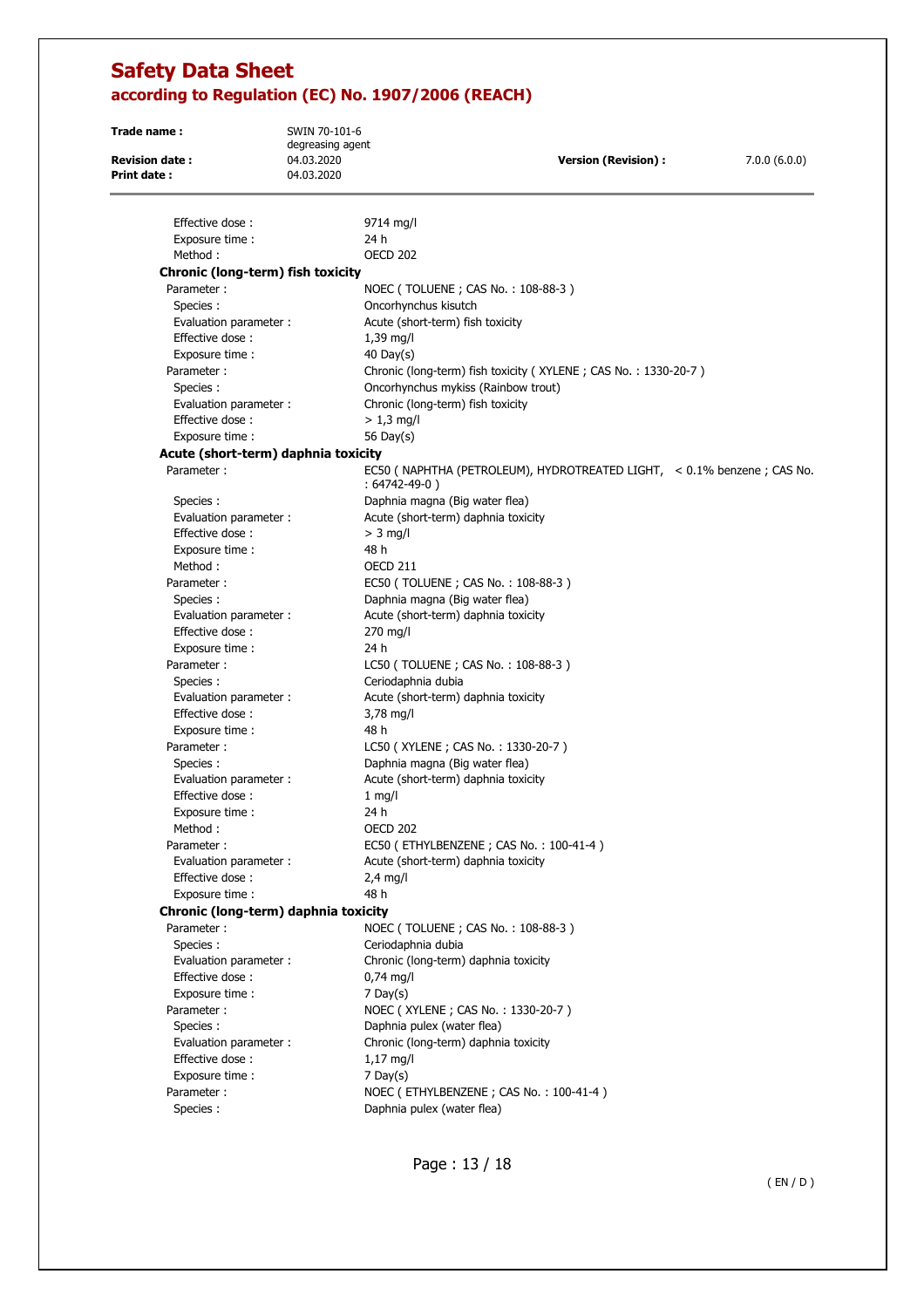| Trade name :                         | SWIN 70-101-6                  |                                                                                                 |              |
|--------------------------------------|--------------------------------|-------------------------------------------------------------------------------------------------|--------------|
| <b>Revision date:</b>                | degreasing agent<br>04.03.2020 | <b>Version (Revision):</b>                                                                      | 7.0.0(6.0.0) |
| <b>Print date:</b>                   | 04.03.2020                     |                                                                                                 |              |
|                                      |                                |                                                                                                 |              |
| Effective dose:                      |                                | 9714 mg/l                                                                                       |              |
| Exposure time :                      |                                | 24 h                                                                                            |              |
| Method:                              |                                | <b>OECD 202</b>                                                                                 |              |
| Chronic (long-term) fish toxicity    |                                |                                                                                                 |              |
| Parameter:                           |                                | NOEC (TOLUENE; CAS No.: 108-88-3)                                                               |              |
| Species :                            |                                | Oncorhynchus kisutch                                                                            |              |
| Evaluation parameter :               |                                | Acute (short-term) fish toxicity                                                                |              |
| Effective dose:                      |                                | 1,39 mg/l                                                                                       |              |
| Exposure time :                      |                                | 40 Day(s)                                                                                       |              |
| Parameter:                           |                                | Chronic (long-term) fish toxicity (XYLENE; CAS No.: 1330-20-7)                                  |              |
| Species:                             |                                | Oncorhynchus mykiss (Rainbow trout)                                                             |              |
| Evaluation parameter :               |                                | Chronic (long-term) fish toxicity                                                               |              |
| Effective dose:                      |                                | $> 1.3$ mg/l                                                                                    |              |
| Exposure time :                      |                                | 56 Day(s)                                                                                       |              |
| Acute (short-term) daphnia toxicity  |                                |                                                                                                 |              |
| Parameter:                           |                                | EC50 ( NAPHTHA (PETROLEUM), HYDROTREATED LIGHT, $\sim 0.1\%$ benzene; CAS No.<br>: 64742-49-0 ) |              |
| Species:                             |                                | Daphnia magna (Big water flea)                                                                  |              |
| Evaluation parameter :               |                                | Acute (short-term) daphnia toxicity                                                             |              |
| Effective dose:                      |                                | $>$ 3 mg/l                                                                                      |              |
| Exposure time :                      |                                | 48 h                                                                                            |              |
| Method:                              |                                | <b>OECD 211</b>                                                                                 |              |
| Parameter:                           |                                | EC50 (TOLUENE; CAS No.: 108-88-3)                                                               |              |
| Species:                             |                                | Daphnia magna (Big water flea)                                                                  |              |
| Evaluation parameter :               |                                | Acute (short-term) daphnia toxicity                                                             |              |
| Effective dose:                      |                                | 270 mg/l                                                                                        |              |
| Exposure time :                      |                                | 24 h                                                                                            |              |
| Parameter:                           |                                | LC50 (TOLUENE; CAS No.: 108-88-3)                                                               |              |
| Species:                             |                                | Ceriodaphnia dubia                                                                              |              |
| Evaluation parameter:                |                                | Acute (short-term) daphnia toxicity                                                             |              |
| Effective dose:                      |                                | 3,78 mg/l                                                                                       |              |
| Exposure time :                      |                                | 48 h                                                                                            |              |
| Parameter:                           |                                | LC50 (XYLENE; CAS No.: 1330-20-7)                                                               |              |
| Species:                             |                                | Daphnia magna (Big water flea)                                                                  |              |
| Evaluation parameter :               |                                | Acute (short-term) daphnia toxicity                                                             |              |
| Effective dose:                      |                                | $1$ mg/l                                                                                        |              |
| Exposure time :                      |                                | 24 h                                                                                            |              |
| Method :                             |                                | OECD 202                                                                                        |              |
| Parameter:                           |                                | EC50 (ETHYLBENZENE; CAS No.: 100-41-4)                                                          |              |
| Evaluation parameter :               |                                | Acute (short-term) daphnia toxicity                                                             |              |
| Effective dose:                      |                                | $2.4$ mg/l                                                                                      |              |
| Exposure time :                      |                                | 48 h                                                                                            |              |
| Chronic (long-term) daphnia toxicity |                                |                                                                                                 |              |
| Parameter:                           |                                | NOEC (TOLUENE; CAS No.: 108-88-3)                                                               |              |
| Species:                             |                                | Ceriodaphnia dubia                                                                              |              |
| Evaluation parameter :               |                                | Chronic (long-term) daphnia toxicity                                                            |              |
| Effective dose:                      |                                | $0,74$ mg/l                                                                                     |              |
| Exposure time :                      |                                | $7$ Day(s)                                                                                      |              |
| Parameter:                           |                                | NOEC (XYLENE; CAS No.: 1330-20-7)                                                               |              |
| Species:                             |                                | Daphnia pulex (water flea)                                                                      |              |
| Evaluation parameter :               |                                | Chronic (long-term) daphnia toxicity                                                            |              |
| Effective dose:                      |                                | $1,17 \text{ mg/l}$                                                                             |              |
| Exposure time :                      |                                | $7$ Day(s)                                                                                      |              |
| Parameter:                           |                                | NOEC (ETHYLBENZENE; CAS No.: 100-41-4)                                                          |              |
| Species:                             |                                | Daphnia pulex (water flea)                                                                      |              |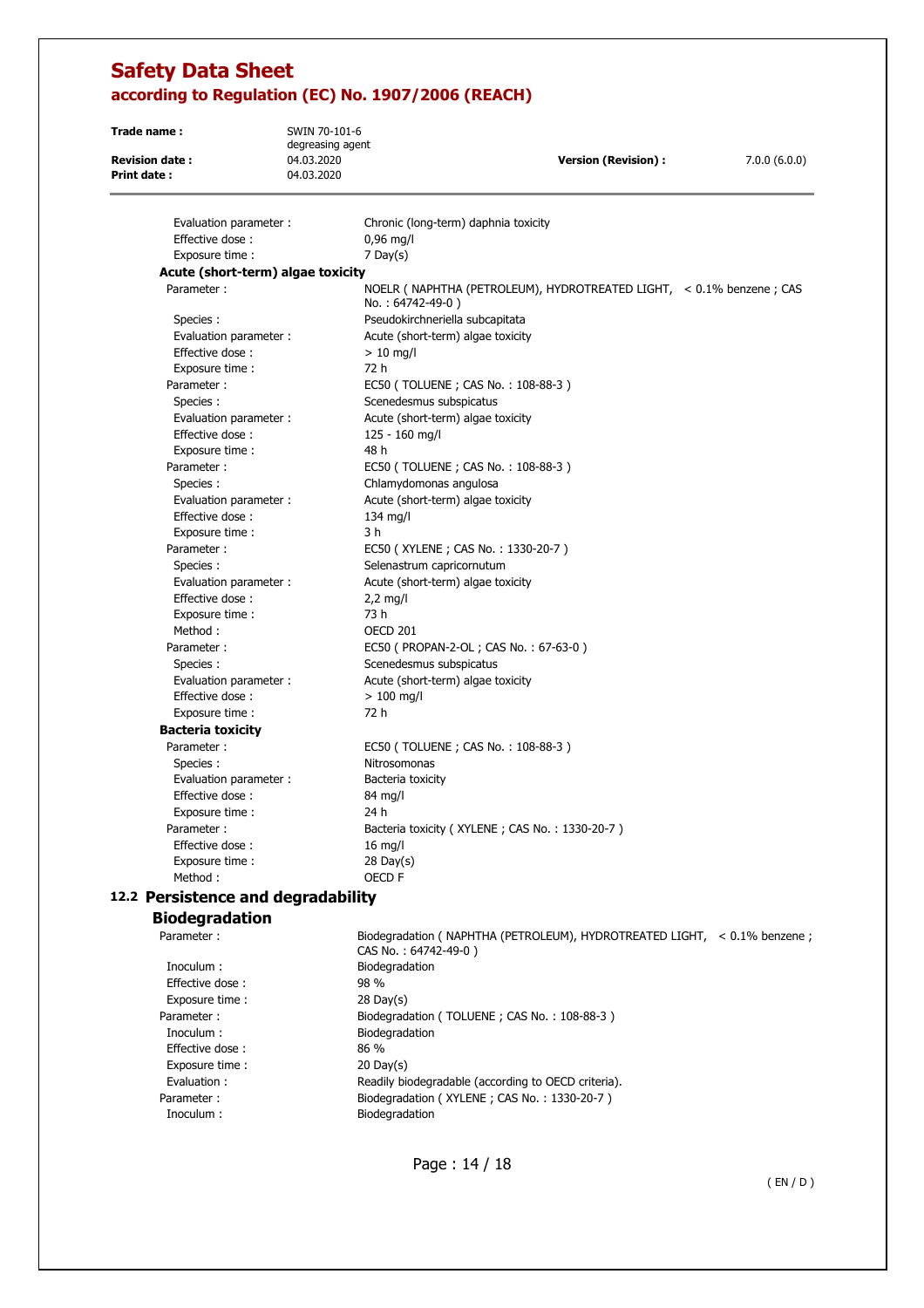**Trade name :** SWIN 70-101-6 degreasing agent **Revision date :** 04.03.2020 **Version (Revision) :** 7.0.0 (6.0.0) **Print date :** 04.03.2020 Evaluation parameter : Chronic (long-term) daphnia toxicity

| Effective dose:                    | $0,96$ mg/l                                                                               |  |  |  |
|------------------------------------|-------------------------------------------------------------------------------------------|--|--|--|
| Exposure time :                    | $7$ Day(s)                                                                                |  |  |  |
|                                    | Acute (short-term) algae toxicity                                                         |  |  |  |
| Parameter:                         | NOELR ( NAPHTHA (PETROLEUM), HYDROTREATED LIGHT, < 0.1% benzene ; CAS<br>No.: 64742-49-0) |  |  |  |
| Species:                           | Pseudokirchneriella subcapitata                                                           |  |  |  |
| Evaluation parameter :             | Acute (short-term) algae toxicity                                                         |  |  |  |
| Effective dose:                    | $> 10$ mg/l                                                                               |  |  |  |
| Exposure time :                    | 72 h                                                                                      |  |  |  |
| Parameter:                         | EC50 (TOLUENE; CAS No.: 108-88-3)                                                         |  |  |  |
| Species:                           | Scenedesmus subspicatus                                                                   |  |  |  |
| Evaluation parameter :             | Acute (short-term) algae toxicity                                                         |  |  |  |
| Effective dose:                    | 125 - 160 mg/l                                                                            |  |  |  |
| Exposure time:                     | 48 h                                                                                      |  |  |  |
| Parameter:                         | EC50 (TOLUENE; CAS No.: 108-88-3)                                                         |  |  |  |
| Species :                          | Chlamydomonas angulosa                                                                    |  |  |  |
| Evaluation parameter :             | Acute (short-term) algae toxicity                                                         |  |  |  |
| Effective dose:                    | $134$ mg/l                                                                                |  |  |  |
| Exposure time :                    | 3 h                                                                                       |  |  |  |
| Parameter:                         | EC50 (XYLENE; CAS No.: 1330-20-7)                                                         |  |  |  |
| Species :                          | Selenastrum capricornutum                                                                 |  |  |  |
| Evaluation parameter :             | Acute (short-term) algae toxicity                                                         |  |  |  |
| Effective dose:                    | $2,2$ mg/l                                                                                |  |  |  |
| Exposure time:                     | 73 h                                                                                      |  |  |  |
| Method:                            | <b>OECD 201</b>                                                                           |  |  |  |
| Parameter:                         | EC50 ( PROPAN-2-OL ; CAS No.: 67-63-0 )                                                   |  |  |  |
| Species:                           | Scenedesmus subspicatus                                                                   |  |  |  |
| Evaluation parameter :             | Acute (short-term) algae toxicity                                                         |  |  |  |
| Effective dose:                    | $>100$ mg/l                                                                               |  |  |  |
| Exposure time :                    | 72 h                                                                                      |  |  |  |
| <b>Bacteria toxicity</b>           |                                                                                           |  |  |  |
| Parameter:                         | EC50 (TOLUENE; CAS No.: 108-88-3)                                                         |  |  |  |
| Species :                          | Nitrosomonas                                                                              |  |  |  |
| Evaluation parameter :             | Bacteria toxicity                                                                         |  |  |  |
| Effective dose:                    | 84 mg/l                                                                                   |  |  |  |
| Exposure time :                    | 24 h                                                                                      |  |  |  |
| Parameter:                         | Bacteria toxicity (XYLENE; CAS No.: 1330-20-7)                                            |  |  |  |
| Effective dose:                    | $16$ mg/l                                                                                 |  |  |  |
| Exposure time:                     | $28$ Day(s)                                                                               |  |  |  |
| Method:                            | OECD F                                                                                    |  |  |  |
| 12.2 Persistence and degradability |                                                                                           |  |  |  |
| <b>Biodegradation</b>              |                                                                                           |  |  |  |
| Daramotor :                        | Riodogradation ( NADHTHA (DETROLEUM) HVDDOTDEATED LICHT < 0.10/2 bonzono ;                |  |  |  |

Inoculum : Biodegradation Effective dose : 98 % Exposure time : 28 Day(s) Inoculum :<br>
Effective dose :<br>
Effective dose :<br>
86 % Effective dose :<br>Exposure time : 30 Dav(s) Exposure time : Inoculum : Biodegradation

Parameter : Biodegradation ( NAPHTHA (PETROLEUM), HYDROTREATED LIGHT, < 0.1% benzene ; CAS No. : 64742-49-0 ) Parameter : Biodegradation (TOLUENE ; CAS No. : 108-88-3 ) Evaluation : Readily biodegradable (according to OECD criteria). Parameter : Biodegradation (XYLENE ; CAS No. : 1330-20-7)

Page : 14 / 18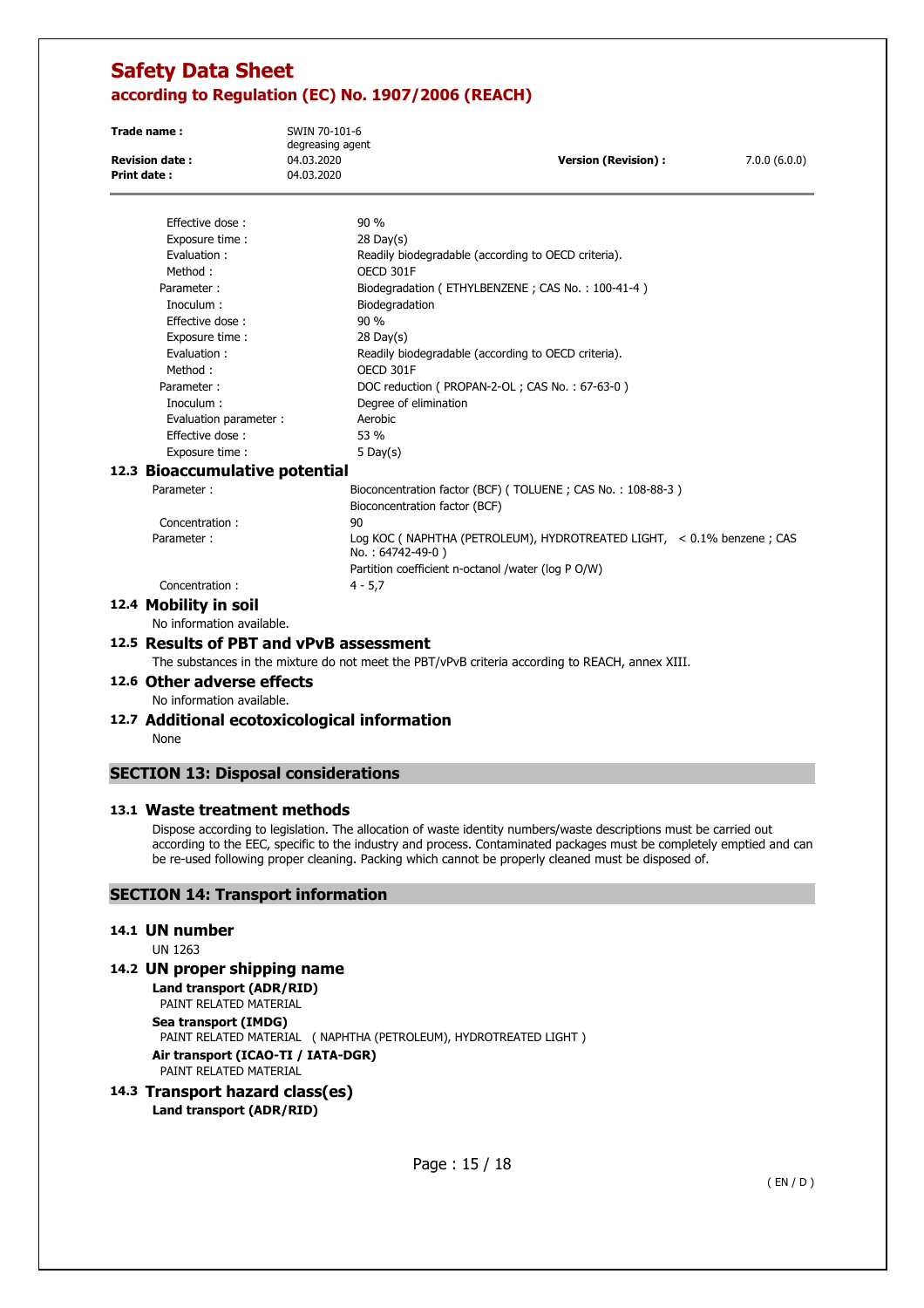| Trade name:<br><b>Revision date:</b><br><b>Print date:</b> | SWIN 70-101-6<br>degreasing agent<br>04.03.2020<br>04.03.2020 | <b>Version (Revision):</b>                                            | 7.0.0(6.0.0) |
|------------------------------------------------------------|---------------------------------------------------------------|-----------------------------------------------------------------------|--------------|
| Effective dose:                                            | 90%                                                           |                                                                       |              |
| Exposure time :                                            | $28$ Day(s)                                                   |                                                                       |              |
| Evaluation:                                                |                                                               | Readily biodegradable (according to OECD criteria).                   |              |
| Method:                                                    | OECD 301F                                                     |                                                                       |              |
| Parameter:                                                 |                                                               | Biodegradation (ETHYLBENZENE; CAS No.: 100-41-4)                      |              |
| Inoculum:                                                  | Biodegradation                                                |                                                                       |              |
| Effective dose:                                            | 90 %                                                          |                                                                       |              |
| Exposure time:                                             | $28$ Day(s)                                                   |                                                                       |              |
| Evaluation:                                                |                                                               | Readily biodegradable (according to OECD criteria).                   |              |
| Method:                                                    | OECD 301F                                                     |                                                                       |              |
| Parameter:                                                 |                                                               | DOC reduction ( PROPAN-2-OL ; CAS No.: 67-63-0 )                      |              |
| Inoculum :                                                 | Degree of elimination                                         |                                                                       |              |
| Evaluation parameter :                                     | Aerobic                                                       |                                                                       |              |
| Effective dose:                                            | 53 %                                                          |                                                                       |              |
| Exposure time :                                            | 5 Day $(s)$                                                   |                                                                       |              |
| 12.3 Bioaccumulative potential                             |                                                               |                                                                       |              |
| Parameter:                                                 | Bioconcentration factor (BCF)                                 | Bioconcentration factor (BCF) (TOLUENE; CAS No.: 108-88-3)            |              |
| Concentration:                                             | 90                                                            |                                                                       |              |
| Parameter:                                                 | No.: 64742-49-0)                                              | Log KOC (NAPHTHA (PETROLEUM), HYDROTREATED LIGHT, < 0.1% benzene; CAS |              |
|                                                            |                                                               | Partition coefficient n-octanol /water (log P O/W)                    |              |
| Concentration:                                             | $4 - 5.7$                                                     |                                                                       |              |
| 12.4 Mobility in soil                                      |                                                               |                                                                       |              |
| No information available.                                  |                                                               |                                                                       |              |
| 12.5 Results of PBT and vPvB assessment                    |                                                               |                                                                       |              |
|                                                            |                                                               |                                                                       |              |

The substances in the mixture do not meet the PBT/vPvB criteria according to REACH, annex XIII.

## **12.6 Other adverse effects**

### No information available.

## **12.7 Additional ecotoxicological information**

None

## **SECTION 13: Disposal considerations**

### **13.1 Waste treatment methods**

Dispose according to legislation. The allocation of waste identity numbers/waste descriptions must be carried out according to the EEC, specific to the industry and process. Contaminated packages must be completely emptied and can be re-used following proper cleaning. Packing which cannot be properly cleaned must be disposed of.

## **SECTION 14: Transport information**

### **14.1 UN number**

UN 1263

# **14.2 UN proper shipping name**

**Land transport (ADR/RID)**  PAINT RELATED MATERIAL **Sea transport (IMDG)**  PAINT RELATED MATERIAL ( NAPHTHA (PETROLEUM), HYDROTREATED LIGHT ) **Air transport (ICAO-TI / IATA-DGR)**  PAINT RELATED MATERIAL

### **14.3 Transport hazard class(es) Land transport (ADR/RID)**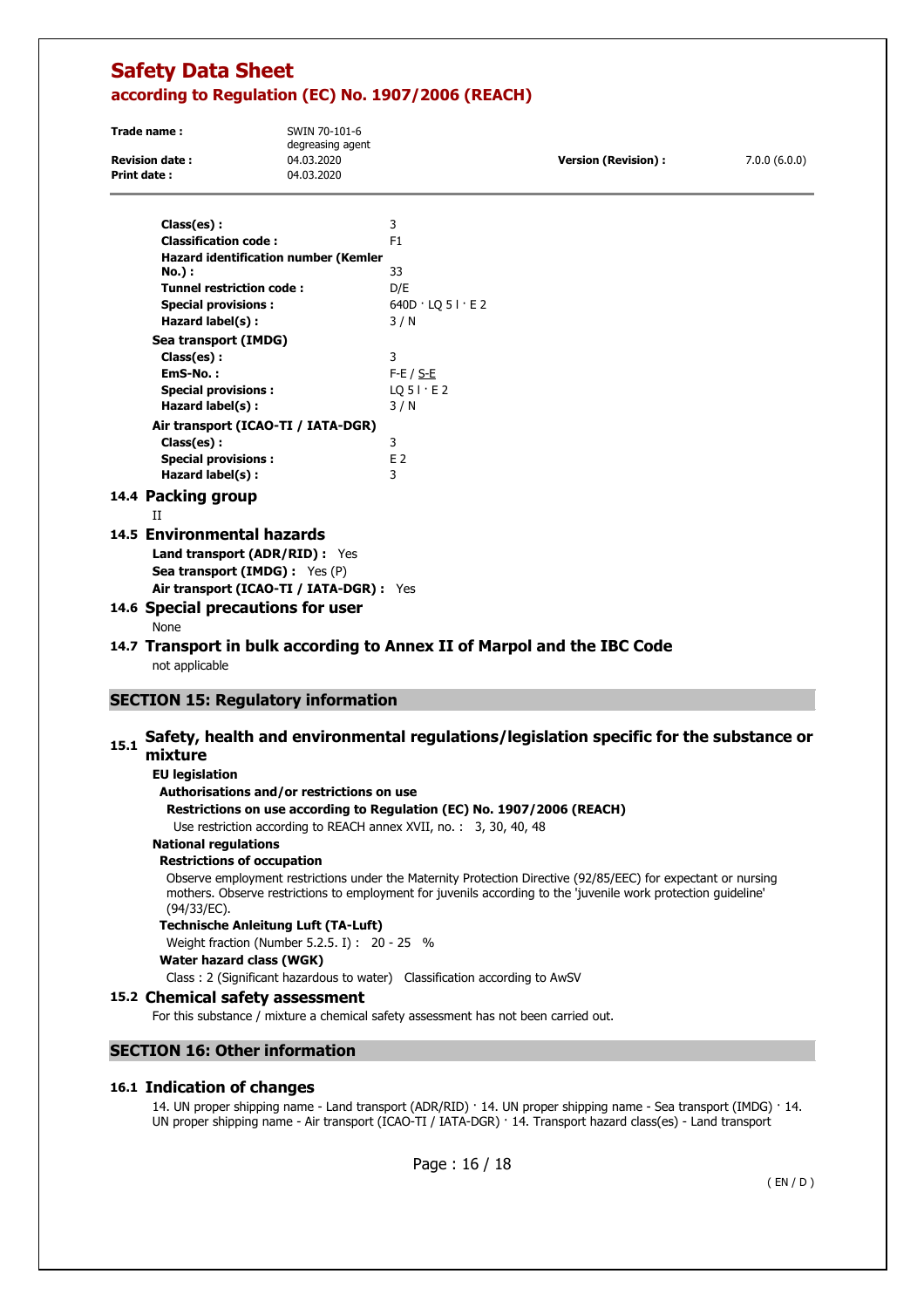| Trade name:           | SWIN 70-101-6<br>degreasing agent |                      |              |
|-----------------------|-----------------------------------|----------------------|--------------|
| <b>Revision date:</b> | 04.03.2020                        | Version (Revision) : | 7.0.0(6.0.0) |
| <b>Print date:</b>    | 04.03.2020                        |                      |              |

| Class(es) :                                      | 3                           |
|--------------------------------------------------|-----------------------------|
| <b>Classification code:</b>                      | F <sub>1</sub>              |
| <b>Hazard identification number (Kemler</b>      |                             |
| <b>No.</b> ) :                                   | 33                          |
| <b>Tunnel restriction code:</b>                  | D/E                         |
| <b>Special provisions:</b>                       | $640D \cdot LQ 5I \cdot E2$ |
| Hazard label(s):                                 | 3/N                         |
| Sea transport (IMDG)                             |                             |
| Class(es):                                       | 3                           |
| EmS-No.:                                         | F-E / <u>S-E</u>            |
| <b>Special provisions:</b>                       | $LQ$ 5 $\vdots$ E 2         |
| Hazard label(s):                                 | 3/N                         |
| Air transport (ICAO-TI / IATA-DGR)               |                             |
| Class(es):                                       | 3                           |
| <b>Special provisions:</b>                       | F <sub>2</sub>              |
| Hazard label(s):                                 | 3                           |
| 14.4 Packing group                               |                             |
| П                                                |                             |
| 14.5 Environmental hazards                       |                             |
| <b>Land transport (ADR/RID):</b> Yes             |                             |
| <b>Sea transport (IMDG):</b> Yes (P)             |                             |
| Air transport (ICAO-TI / IATA-DGR) : Yes         |                             |
| $\bullet$ 4.6. Consolid museomations fou $\cdot$ |                             |

## **14.6 Special precautions for user**

None

## **14.7 Transport in bulk according to Annex II of Marpol and the IBC Code**  not applicable

## **SECTION 15: Regulatory information**

# 15.1 Safety, health and environmental regulations/legislation specific for the substance or **mixture**

### **EU legislation**

### **Authorisations and/or restrictions on use**

**Restrictions on use according to Regulation (EC) No. 1907/2006 (REACH)** 

Use restriction according to REACH annex XVII, no. : 3, 30, 40, 48

## **National regulations**

### **Restrictions of occupation**

Observe employment restrictions under the Maternity Protection Directive (92/85/EEC) for expectant or nursing mothers. Observe restrictions to employment for juvenils according to the 'juvenile work protection guideline' (94/33/EC).

## **Technische Anleitung Luft (TA-Luft)**

Weight fraction (Number 5.2.5. I) : 20 - 25 %

### **Water hazard class (WGK)**

Class : 2 (Significant hazardous to water) Classification according to AwSV

### **15.2 Chemical safety assessment**

For this substance / mixture a chemical safety assessment has not been carried out.

### **SECTION 16: Other information**

### **16.1 Indication of changes**

14. UN proper shipping name - Land transport (ADR/RID) · 14. UN proper shipping name - Sea transport (IMDG) · 14. UN proper shipping name - Air transport (ICAO-TI / IATA-DGR) · 14. Transport hazard class(es) - Land transport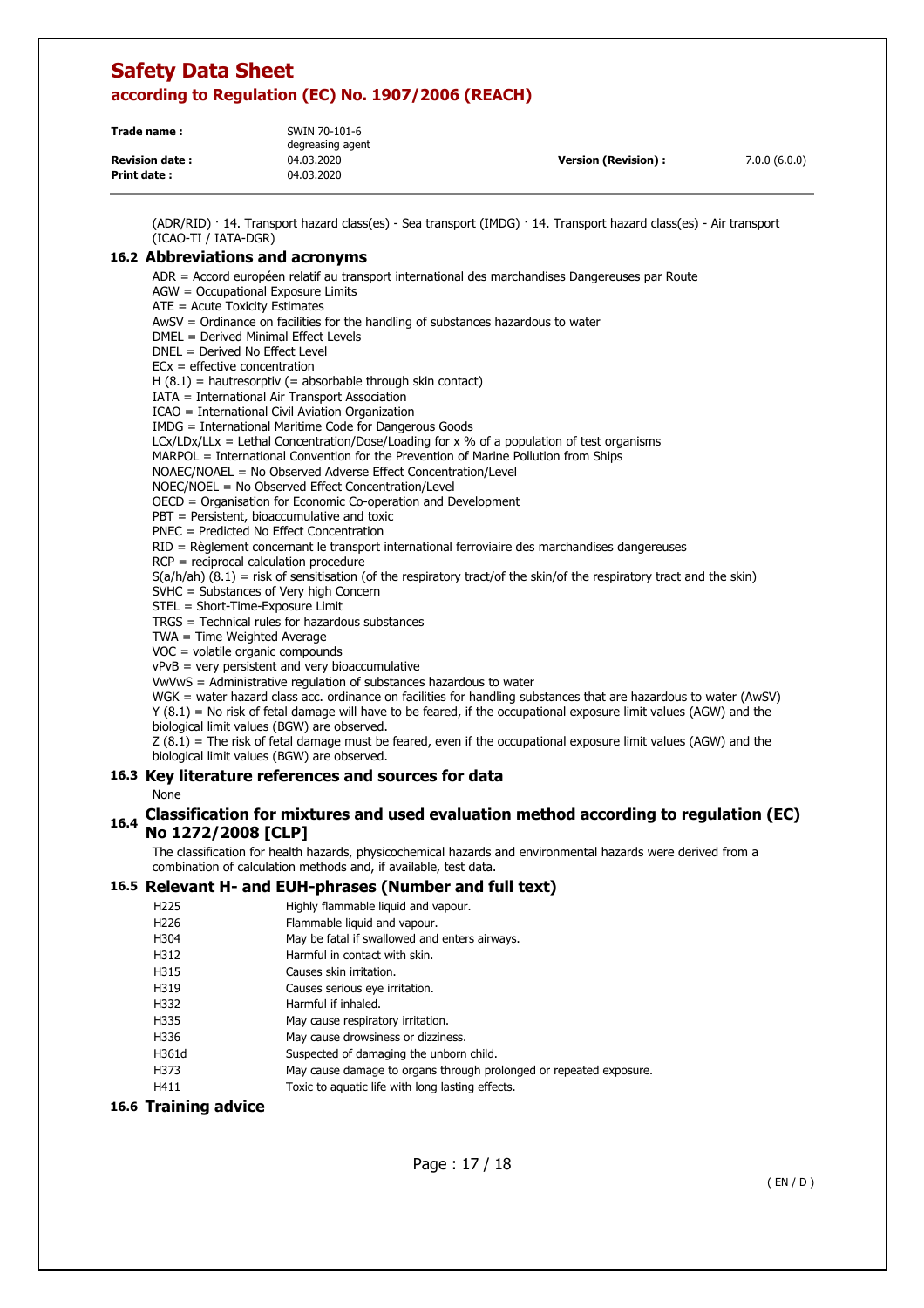| Trade name:           | SWIN 70-101-6<br>degreasing agent |                            |              |
|-----------------------|-----------------------------------|----------------------------|--------------|
| <b>Revision date:</b> | 04.03.2020                        | <b>Version (Revision):</b> | 7.0.0(6.0.0) |
| <b>Print date:</b>    | 04.03.2020                        |                            |              |

(ADR/RID) · 14. Transport hazard class(es) - Sea transport (IMDG) · 14. Transport hazard class(es) - Air transport (ICAO-TI / IATA-DGR)

### **16.2 Abbreviations and acronyms**

ADR = Accord européen relatif au transport international des marchandises Dangereuses par Route AGW = Occupational Exposure Limits ATE = Acute Toxicity Estimates AwSV = Ordinance on facilities for the handling of substances hazardous to water DMEL = Derived Minimal Effect Levels DNEL = Derived No Effect Level ECx = effective concentration  $H (8.1)$  = hautresorptiv (= absorbable through skin contact) IATA = International Air Transport Association ICAO = International Civil Aviation Organization IMDG = International Maritime Code for Dangerous Goods LCx/LDx/LLx = Lethal Concentration/Dose/Loading for x % of a population of test organisms MARPOL = International Convention for the Prevention of Marine Pollution from Ships NOAEC/NOAEL = No Observed Adverse Effect Concentration/Level NOEC/NOEL = No Observed Effect Concentration/Level OECD = Organisation for Economic Co-operation and Development PBT = Persistent, bioaccumulative and toxic PNEC = Predicted No Effect Concentration RID = Règlement concernant le transport international ferroviaire des marchandises dangereuses RCP = reciprocal calculation procedure  $S(a/h/ah)$  (8.1) = risk of sensitisation (of the respiratory tract/of the skin/of the respiratory tract and the skin) SVHC = Substances of Very high Concern STEL = Short-Time-Exposure Limit TRGS = Technical rules for hazardous substances TWA = Time Weighted Average VOC = volatile organic compounds vPvB = very persistent and very bioaccumulative VwVwS = Administrative regulation of substances hazardous to water WGK = water hazard class acc. ordinance on facilities for handling substances that are hazardous to water (AwSV)  $Y(8.1)$  = No risk of fetal damage will have to be feared, if the occupational exposure limit values (AGW) and the biological limit values (BGW) are observed.  $Z(8.1)$  = The risk of fetal damage must be feared, even if the occupational exposure limit values (AGW) and the biological limit values (BGW) are observed. **16.3 Key literature references and sources for data**  None **16.4 Classification for mixtures and used evaluation method according to regulation (EC) No 1272/2008 [CLP]**  The classification for health hazards, physicochemical hazards and environmental hazards were derived from a combination of calculation methods and, if available, test data. **16.5 Relevant H- and EUH-phrases (Number and full text)**  H225 Highly flammable liquid and vapour. H226 Flammable liquid and vapour. H304 May be fatal if swallowed and enters airways. H312 Harmful in contact with skin. H315 Causes skin irritation.

- 
- H319 Causes serious eye irritation. H332 Harmful if inhaled.
- H335 May cause respiratory irritation.
- H336 May cause drowsiness or dizziness.
- H361d Suspected of damaging the unborn child.
- H373 May cause damage to organs through prolonged or repeated exposure.
- H411 Toxic to aquatic life with long lasting effects.

### **16.6 Training advice**